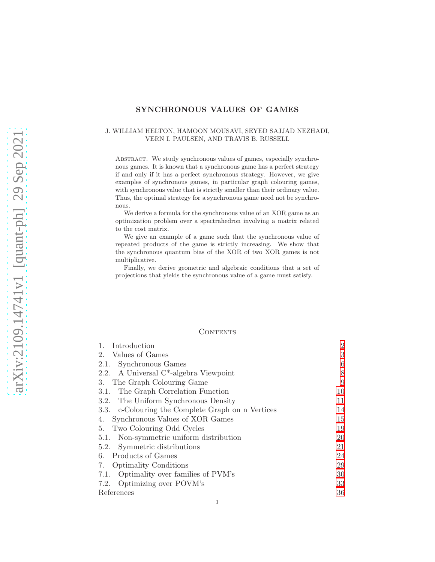# SYNCHRONOUS VALUES OF GAMES

#### J. WILLIAM HELTON, HAMOON MOUSAVI, SEYED SAJJAD NEZHADI, VERN I. PAULSEN, AND TRAVIS B. RUSSELL

ABSTRACT. We study synchronous values of games, especially synchronous games. It is known that a synchronous game has a perfect strategy if and only if it has a perfect synchronous strategy. However, we give examples of synchronous games, in particular graph colouring games, with synchronous value that is strictly smaller than their ordinary value. Thus, the optimal strategy for a synchronous game need not be synchronous.

We derive a formula for the synchronous value of an XOR game as an optimization problem over a spectrahedron involving a matrix related to the cost matrix.

We give an example of a game such that the synchronous value of repeated products of the game is strictly increasing. We show that the synchronous quantum bias of the XOR of two XOR games is not multiplicative.

Finally, we derive geometric and algebraic conditions that a set of projections that yields the synchronous value of a game must satisfy.

#### **CONTENTS**

| $\mathbf{1}$ .<br>Introduction                     | $\overline{2}$ |
|----------------------------------------------------|----------------|
| Values of Games<br>2.                              | 3              |
| 2.1. Synchronous Games                             | 6              |
| 2.2. A Universal C <sup>*</sup> -algebra Viewpoint | 8              |
| The Graph Colouring Game<br>3.                     | 9              |
| The Graph Correlation Function<br>3.1.             | 10             |
| 3.2. The Uniform Synchronous Density               | 11             |
| 3.3. c-Colouring the Complete Graph on n Vertices  | 14             |
| Synchronous Values of XOR Games<br>4.              | 15             |
| Two Colouring Odd Cycles<br>5.                     | 19             |
| 5.1. Non-symmetric uniform distribution            | 20             |
| 5.2. Symmetric distributions                       | 21             |
| 6. Products of Games                               | 24             |
| <b>Optimality Conditions</b><br>7.                 | 29             |
| Optimality over families of PVM's<br>7.1.          | 30             |
| 7.2. Optimizing over POVM's                        | 33             |
| References                                         | 36             |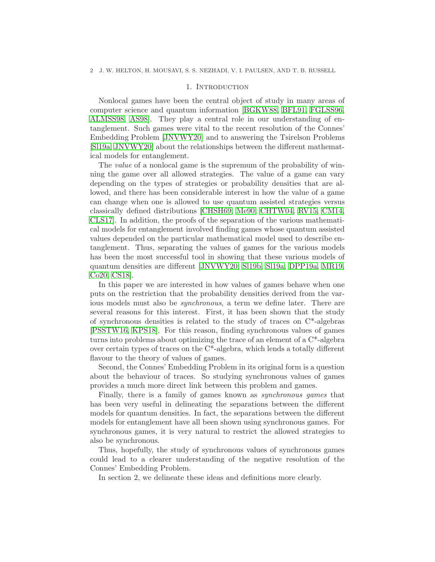#### 1. INTRODUCTION

<span id="page-1-0"></span>Nonlocal games have been the central object of study in many areas of computer science and quantum information [\[BGKW88,](#page-35-1) [BFL91,](#page-35-2) [FGLSS96,](#page-35-3) [ALMSS98,](#page-35-4) [AS98\]](#page-35-5). They play a central role in our understanding of entanglement. Such games were vital to the recent resolution of the Connes' Embedding Problem [\[JNVWY20\]](#page-36-0) and to answering the Tsirelson Problems [\[Sl19a,](#page-36-1) [JNVWY20\]](#page-36-0) about the relationships between the different mathematical models for entanglement.

The *value* of a nonlocal game is the supremum of the probability of winning the game over all allowed strategies. The value of a game can vary depending on the types of strategies or probability densities that are allowed, and there has been considerable interest in how the value of a game can change when one is allowed to use quantum assisted strategies versus classically defined distributions [\[CHSH69,](#page-35-6) [Me90,](#page-36-2) [CHTW04,](#page-35-7) [RV15,](#page-36-3) [CM14,](#page-35-8) [CLS17\]](#page-35-9). In addition, the proofs of the separation of the various mathematical models for entanglement involved finding games whose quantum assisted values depended on the particular mathematical model used to describe entanglement. Thus, separating the values of games for the various models has been the most successful tool in showing that these various models of quantum densities are different [\[JNVWY20,](#page-36-0) [Sl19b,](#page-36-4) [Sl19a,](#page-36-1) [DPP19a,](#page-35-10) [MR19,](#page-36-5) [Co20,](#page-35-11) [CS18\]](#page-35-12).

In this paper we are interested in how values of games behave when one puts on the restriction that the probability densities derived from the various models must also be *synchronous*, a term we define later. There are several reasons for this interest. First, it has been shown that the study of synchronous densities is related to the study of traces on  $C^*$ -algebras [\[PSSTW16,](#page-36-6) [KPS18\]](#page-36-7). For this reason, finding synchronous values of games turns into problems about optimizing the trace of an element of a C\*-algebra over certain types of traces on the  $C^*$ -algebra, which lends a totally different flavour to the theory of values of games.

Second, the Connes' Embedding Problem in its original form is a question about the behaviour of traces. So studying synchronous values of games provides a much more direct link between this problem and games.

Finally, there is a family of games known as *synchronous games* that has been very useful in delineating the separations between the different models for quantum densities. In fact, the separations between the different models for entanglement have all been shown using synchronous games. For synchronous games, it is very natural to restrict the allowed strategies to also be synchronous.

Thus, hopefully, the study of synchronous values of synchronous games could lead to a clearer understanding of the negative resolution of the Connes' Embedding Problem.

In section 2, we delineate these ideas and definitions more clearly.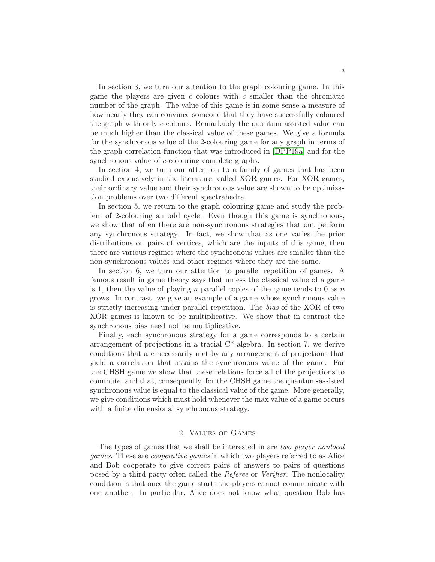In section 3, we turn our attention to the graph colouring game. In this game the players are given  $c$  colours with  $c$  smaller than the chromatic number of the graph. The value of this game is in some sense a measure of how nearly they can convince someone that they have successfully coloured the graph with only c-colours. Remarkably the quantum assisted value can be much higher than the classical value of these games. We give a formula for the synchronous value of the 2-colouring game for any graph in terms of the graph correlation function that was introduced in [\[DPP19a\]](#page-35-10) and for the synchronous value of c-colouring complete graphs.

In section 4, we turn our attention to a family of games that has been studied extensively in the literature, called XOR games. For XOR games, their ordinary value and their synchronous value are shown to be optimization problems over two different spectrahedra.

In section 5, we return to the graph colouring game and study the problem of 2-colouring an odd cycle. Even though this game is synchronous, we show that often there are non-synchronous strategies that out perform any synchronous strategy. In fact, we show that as one varies the prior distributions on pairs of vertices, which are the inputs of this game, then there are various regimes where the synchronous values are smaller than the non-synchronous values and other regimes where they are the same.

In section 6, we turn our attention to parallel repetition of games. A famous result in game theory says that unless the classical value of a game is 1, then the value of playing n parallel copies of the game tends to 0 as  $n$ grows. In contrast, we give an example of a game whose synchronous value is strictly increasing under parallel repetition. The *bias* of the XOR of two XOR games is known to be multiplicative. We show that in contrast the synchronous bias need not be multiplicative.

Finally, each synchronous strategy for a game corresponds to a certain arrangement of projections in a tracial  $C^*$ -algebra. In section 7, we derive conditions that are necessarily met by any arrangement of projections that yield a correlation that attains the synchronous value of the game. For the CHSH game we show that these relations force all of the projections to commute, and that, consequently, for the CHSH game the quantum-assisted synchronous value is equal to the classical value of the game. More generally, we give conditions which must hold whenever the max value of a game occurs with a finite dimensional synchronous strategy.

## 2. Values of Games

<span id="page-2-0"></span>The types of games that we shall be interested in are *two player nonlocal games*. These are *cooperative games* in which two players referred to as Alice and Bob cooperate to give correct pairs of answers to pairs of questions posed by a third party often called the *Referee* or *Verifier*. The nonlocality condition is that once the game starts the players cannot communicate with one another. In particular, Alice does not know what question Bob has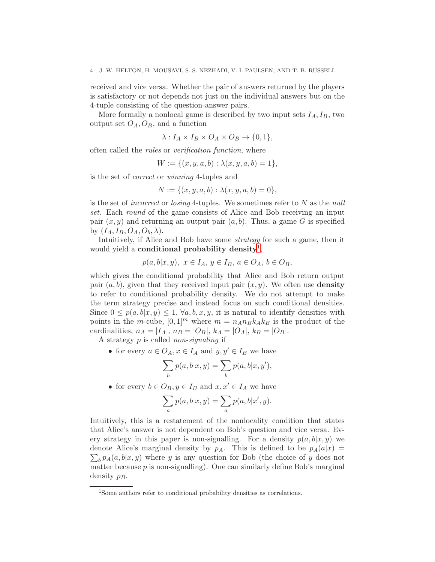received and vice versa. Whether the pair of answers returned by the players is satisfactory or not depends not just on the individual answers but on the 4-tuple consisting of the question-answer pairs.

More formally a nonlocal game is described by two input sets  $I_A$ ,  $I_B$ , two output set  $O_A$ ,  $O_B$ , and a function

$$
\lambda: I_A \times I_B \times O_A \times O_B \to \{0,1\},\
$$

often called the *rules* or *verification function*, where

 $W := \{(x, y, a, b) : \lambda(x, y, a, b) = 1\},\$ 

is the set of *correct* or *winning* 4-tuples and

$$
N := \{(x, y, a, b) : \lambda(x, y, a, b) = 0\},\
$$

is the set of *incorrect* or *losing* 4-tuples. We sometimes refer to N as the *null set*. Each *round* of the game consists of Alice and Bob receiving an input pair  $(x, y)$  and returning an output pair  $(a, b)$ . Thus, a game G is specified by  $(I_A, I_B, O_A, O_b, \lambda)$ .

Intuitively, if Alice and Bob have some *strategy* for such a game, then it would yield a **conditional probability density**<sup>[1](#page-3-0)</sup>,

$$
p(a, b|x, y), x \in I_A, y \in I_B, a \in O_A, b \in O_B,
$$

which gives the conditional probability that Alice and Bob return output pair  $(a, b)$ , given that they received input pair  $(x, y)$ . We often use **density** to refer to conditional probability density. We do not attempt to make the term strategy precise and instead focus on such conditional densities. Since  $0 \leq p(a, b|x, y) \leq 1$ ,  $\forall a, b, x, y$ , it is natural to identify densities with points in the m-cube,  $[0, 1]^m$  where  $m = n_A n_B k_A k_B$  is the product of the cardinalities,  $n_A = |I_A|, n_B = |O_B|, k_A = |O_A|, k_B = |O_B|$ .

A strategy p is called *non-signaling* if

• for every  $a \in O_A$ ,  $x \in I_A$  and  $y, y' \in I_B$  we have

$$
\sum_{b} p(a, b|x, y) = \sum_{b} p(a, b|x, y'),
$$

• for every  $b \in O_B$ ,  $y \in I_B$  and  $x, x' \in I_A$  we have

$$
\sum_{a} p(a,b|x,y) = \sum_{a} p(a,b|x',y).
$$

Intuitively, this is a restatement of the nonlocality condition that states that Alice's answer is not dependent on Bob's question and vice versa. Every strategy in this paper is non-signalling. For a density  $p(a, b|x, y)$  we denote Alice's marginal density by  $p_A$ . This is defined to be  $p_A(a|x) =$  $\sum_{b} p_A(a, b|x, y)$  where y is any question for Bob (the choice of y does not matter because  $p$  is non-signalling). One can similarly define Bob's marginal density  $p_B$ .

<span id="page-3-0"></span><sup>1</sup>Some authors refer to conditional probability densities as correlations.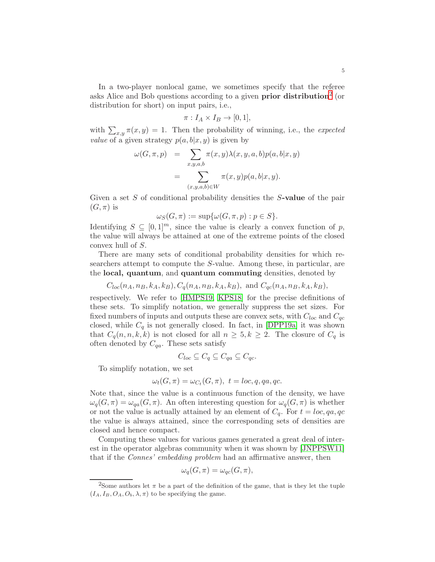In a two-player nonlocal game, we sometimes specify that the referee asks Alice and Bob questions according to a given **prior distribution**<sup>[2](#page-4-0)</sup> (or distribution for short) on input pairs, i.e.,

$$
\pi: I_A \times I_B \to [0,1],
$$

with  $\sum_{x,y} \pi(x, y) = 1$ . Then the probability of winning, i.e., the *expected value* of a given strategy  $p(a, b|x, y)$  is given by

$$
\omega(G, \pi, p) = \sum_{x, y, a, b} \pi(x, y) \lambda(x, y, a, b) p(a, b|x, y)
$$

$$
= \sum_{(x, y, a, b) \in W} \pi(x, y) p(a, b|x, y).
$$

Given a set S of conditional probability densities the S-value of the pair  $(G,\pi)$  is

$$
\omega_S(G, \pi) := \sup \{ \omega(G, \pi, p) : p \in S \}.
$$

Identifying  $S \subseteq [0,1]^m$ , since the value is clearly a convex function of p, the value will always be attained at one of the extreme points of the closed convex hull of S.

There are many sets of conditional probability densities for which researchers attempt to compute the S-value. Among these, in particular, are the local, quantum, and quantum commuting densities, denoted by

 $C_{loc}(n_A, n_B, k_A, k_B), C_a(n_A, n_B, k_A, k_B),$  and  $C_{ac}(n_A, n_B, k_A, k_B),$ 

respectively. We refer to [\[HMPS19,](#page-35-13) [KPS18\]](#page-36-7) for the precise definitions of these sets. To simplify notation, we generally suppress the set sizes. For fixed numbers of inputs and outputs these are convex sets, with  $C_{loc}$  and  $C_{qc}$ closed, while  $C_q$  is not generally closed. In fact, in [\[DPP19a\]](#page-35-10) it was shown that  $C_q(n, n, k, k)$  is not closed for all  $n \geq 5, k \geq 2$ . The closure of  $C_q$  is often denoted by  $C_{qa}$ . These sets satisfy

$$
C_{loc} \subseteq C_q \subseteq C_{qa} \subseteq C_{qc}.
$$

To simplify notation, we set

$$
\omega_t(G, \pi) = \omega_{C_t}(G, \pi), \ t = loc, q, qa, qc.
$$

Note that, since the value is a continuous function of the density, we have  $\omega_q(G,\pi) = \omega_{qa}(G,\pi)$ . An often interesting question for  $\omega_q(G,\pi)$  is whether or not the value is actually attained by an element of  $C_q$ . For  $t = loc, qa, qc$ the value is always attained, since the corresponding sets of densities are closed and hence compact.

Computing these values for various games generated a great deal of interest in the operator algebras community when it was shown by [\[JNPPSW11\]](#page-36-8) that if the *Connes' embedding problem* had an affirmative answer, then

$$
\omega_q(G, \pi) = \omega_{qc}(G, \pi),
$$

<span id="page-4-0"></span><sup>&</sup>lt;sup>2</sup>Some authors let  $\pi$  be a part of the definition of the game, that is they let the tuple  $(I_A, I_B, O_A, O_b, \lambda, \pi)$  to be specifying the game.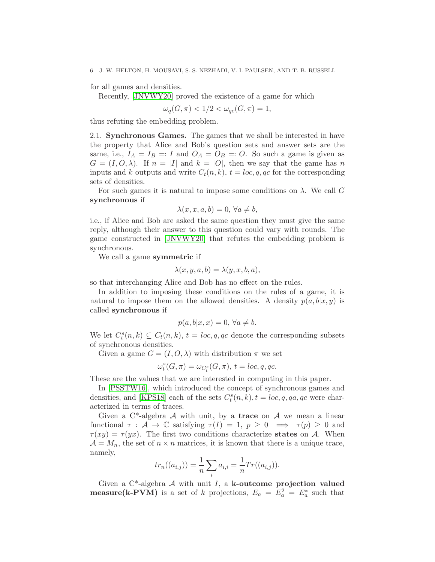for all games and densities.

Recently, [\[JNVWY20\]](#page-36-0) proved the existence of a game for which

$$
\omega_q(G, \pi) < 1/2 < \omega_{qc}(G, \pi) = 1,
$$

<span id="page-5-0"></span>thus refuting the embedding problem.

2.1. Synchronous Games. The games that we shall be interested in have the property that Alice and Bob's question sets and answer sets are the same, i.e.,  $I_A = I_B =: I$  and  $O_A = O_B =: O$ . So such a game is given as  $G = (I, O, \lambda)$ . If  $n = |I|$  and  $k = |O|$ , then we say that the game has n inputs and k outputs and write  $C_t(n, k)$ ,  $t = loc, q, qc$  for the corresponding sets of densities.

For such games it is natural to impose some conditions on  $\lambda$ . We call G synchronous if

$$
\lambda(x, x, a, b) = 0, \forall a \neq b,
$$

i.e., if Alice and Bob are asked the same question they must give the same reply, although their answer to this question could vary with rounds. The game constructed in [\[JNVWY20\]](#page-36-0) that refutes the embedding problem is synchronous.

We call a game symmetric if

$$
\lambda(x, y, a, b) = \lambda(y, x, b, a),
$$

so that interchanging Alice and Bob has no effect on the rules.

In addition to imposing these conditions on the rules of a game, it is natural to impose them on the allowed densities. A density  $p(a, b|x, y)$  is called synchronous if

$$
p(a, b|x, x) = 0, \forall a \neq b.
$$

We let  $C_t^s(n,k) \subseteq C_t(n,k)$ ,  $t = loc, q, qc$  denote the corresponding subsets of synchronous densities.

Given a game  $G = (I, O, \lambda)$  with distribution  $\pi$  we set

$$
\omega_t^s(G,\pi)=\omega_{C_t^s}(G,\pi),\ t=loc,q,qc.
$$

These are the values that we are interested in computing in this paper.

In [\[PSSTW16\]](#page-36-6), which introduced the concept of synchronous games and densities, and [\[KPS18\]](#page-36-7) each of the sets  $C_t^s(n, k)$ ,  $t = loc, q, qa, qc$  were characterized in terms of traces.

Given a  $C^*$ -algebra A with unit, by a trace on A we mean a linear functional  $\tau : A \to \mathbb{C}$  satisfying  $\tau(I) = 1, p \geq 0 \implies \tau(p) \geq 0$  and  $\tau(xy) = \tau(yx)$ . The first two conditions characterize states on A. When  $\mathcal{A} = M_n$ , the set of  $n \times n$  matrices, it is known that there is a unique trace, namely,

$$
tr_n((a_{i,j})) = \frac{1}{n} \sum_i a_{i,i} = \frac{1}{n} Tr((a_{i,j})).
$$

Given a  $C^*$ -algebra  $A$  with unit  $I$ , a k-outcome projection valued **measure**(k-PVM) is a set of k projections,  $E_a = E_a^2 = E_a^*$  such that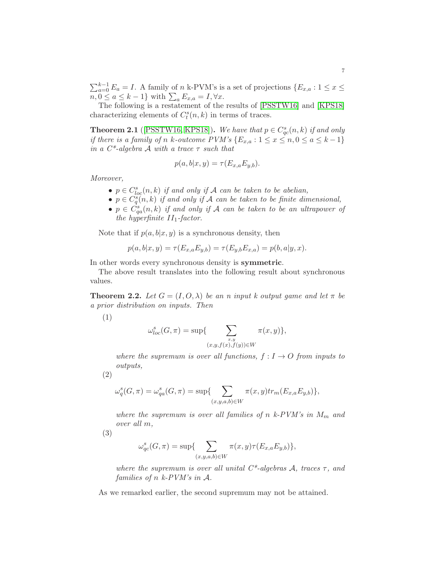$\sum_{a=0}^{k-1} E_a = I$ . A family of n k-PVM's is a set of projections  $\{E_{x,a}: 1 \leq x \leq$  $n, 0 \le a \le k-1$ } with  $\sum_a E_{x,a} = I, \forall x$ .

The following is a restatement of the results of [\[PSSTW16\]](#page-36-6) and [\[KPS18\]](#page-36-7) characterizing elements of  $C_t^s(n,k)$  in terms of traces.

**Theorem 2.1** ([\[PSSTW16,](#page-36-6) [KPS18\]](#page-36-7)). We have that  $p \in C_{qc}^s(n,k)$  if and only *if there is a family of n k-outcome PVM's*  $\{E_{x,a}: 1 \leq x \leq n, 0 \leq a \leq k-1\}$ *in a C\*-algebra* A *with a trace* τ *such that*

$$
p(a, b|x, y) = \tau(E_{x,a}E_{y,b}).
$$

*Moreover,*

- $p \in C_{loc}^{s}(n,k)$  *if and only if* A *can be taken to be abelian,*
- $p \in C_q^s(n,k)$  *if and only if* A *can be taken to be finite dimensional*,
- $p \in \dot{C}_{qa}^s(n,k)$  *if and only if*  $\mathcal A$  *can be taken to be an ultrapower of the hyperfinite*  $II_1$ -*factor.*

Note that if  $p(a, b|x, y)$  is a synchronous density, then

$$
p(a, b|x, y) = \tau(E_{x,a}E_{y,b}) = \tau(E_{y,b}E_{x,a}) = p(b, a|y, x).
$$

In other words every synchronous density is symmetric.

The above result translates into the following result about synchronous values.

**Theorem 2.2.** Let  $G = (I, O, \lambda)$  be an n input k output game and let  $\pi$  be *a prior distribution on inputs. Then*

(1)

$$
\omega_{loc}^s(G, \pi) = \sup \{ \sum_{\substack{x,y \\ (x,y,f(x),f(y)) \in W}} \pi(x,y) \},\
$$

*where the supremum is over all functions,*  $f: I \rightarrow O$  *from inputs to outputs,*

$$
(2)
$$

$$
\omega_q^s(G, \pi) = \omega_{qa}^s(G, \pi) = \sup \{ \sum_{(x, y, a, b) \in W} \pi(x, y) tr_m(E_{x, a} E_{y, b}) \},
$$

*where the supremum is over all families of*  $n \; k$ -PVM's in  $M_m$  and *over all* m*,*

(3)

$$
\omega_{qc}^s(G, \pi) = \sup \{ \sum_{(x,y,a,b) \in W} \pi(x,y)\tau(E_{x,a}E_{y,b}) \},\
$$

*where the supremum is over all unital*  $C^*$ -*algebras* A, traces  $\tau$ , and *families of* n *k-PVM's in* A*.*

As we remarked earlier, the second supremum may not be attained.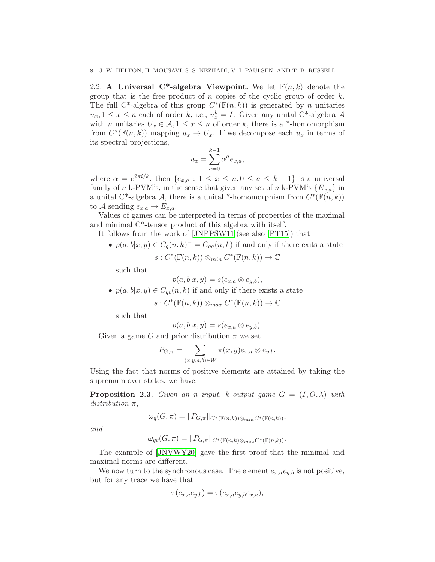<span id="page-7-0"></span>2.2. A Universal C<sup>\*</sup>-algebra Viewpoint. We let  $F(n, k)$  denote the group that is the free product of n copies of the cyclic group of order  $k$ . The full C<sup>\*</sup>-algebra of this group  $C^*(\overline{\mathbb{F}}(n,k))$  is generated by n unitaries  $u_x, 1 \leq x \leq n$  each of order k, i.e.,  $u_x^k = I$ . Given any unital C<sup>\*</sup>-algebra A with *n* unitaries  $U_x \in \mathcal{A}, 1 \leq x \leq n$  of order k, there is a \*-homomorphism from  $C^*(\mathbb{F}(n,k))$  mapping  $u_x \to U_x$ . If we decompose each  $u_x$  in terms of its spectral projections,

$$
u_x = \sum_{a=0}^{k-1} \alpha^a e_{x,a},
$$

where  $\alpha = e^{2\pi i/k}$ , then  $\{e_{x,a} : 1 \leq x \leq n, 0 \leq a \leq k-1\}$  is a universal family of n k-PVM's, in the sense that given any set of n k-PVM's  ${E_{x,a}}$  in a unital C<sup>\*</sup>-algebra A, there is a unital <sup>\*</sup>-homomorphism from  $C^*(\mathbb{F}(n,k))$ to A sending  $e_{x,a} \to E_{x,a}$ .

Values of games can be interpreted in terms of properties of the maximal and minimal C\*-tensor product of this algebra with itself.

- It follows from the work of [\[JNPPSW11\]](#page-36-8)(see also [\[PT15\]](#page-36-9)) that
	- $p(a,b|x,y) \in C_q(n,k)^{-} = C_{qa}(n,k)$  if and only if there exits a state  $s: C^*(\mathbb{F}(n,k)) \otimes_{min} C^*(\mathbb{F}(n,k)) \to \mathbb{C}$

such that

$$
p(a,b|x,y) = s(e_{x,a} \otimes e_{y,b})
$$

•  $p(a, b|x, y) \in C_{qc}(n, k)$  if and only if there exists a state

$$
s: C^*(\mathbb{F}(n,k)) \otimes_{max} C^*(\mathbb{F}(n,k)) \to \mathbb{C}
$$

such that

$$
p(a,b|x,y) = s(e_{x,a} \otimes e_{y,b}).
$$

Given a game G and prior distribution  $\pi$  we set

$$
P_{G,\pi} = \sum_{(x,y,a,b)\in W} \pi(x,y)e_{x,a} \otimes e_{y,b}.
$$

Using the fact that norms of positive elements are attained by taking the supremum over states, we have:

**Proposition 2.3.** *Given an n input, k output game*  $G = (I, O, \lambda)$  *with distribution* π*,*

$$
\omega_q(G,\pi)=\|P_{G,\pi}\|_{C^*(\mathbb{F}(n,k))\otimes_{min}C^*(\mathbb{F}(n,k))},
$$

*and*

$$
\omega_{qc}(G,\pi) = ||P_{G,\pi}||_{C^*(\mathbb{F}(n,k)\otimes_{max}C^*(\mathbb{F}(n,k))}.
$$

The example of [\[JNVWY20\]](#page-36-0) gave the first proof that the minimal and maximal norms are different.

We now turn to the synchronous case. The element  $e_{x,a}e_{y,b}$  is not positive, but for any trace we have that

$$
\tau(e_{x,a}e_{y,b}) = \tau(e_{x,a}e_{y,b}e_{x,a}),
$$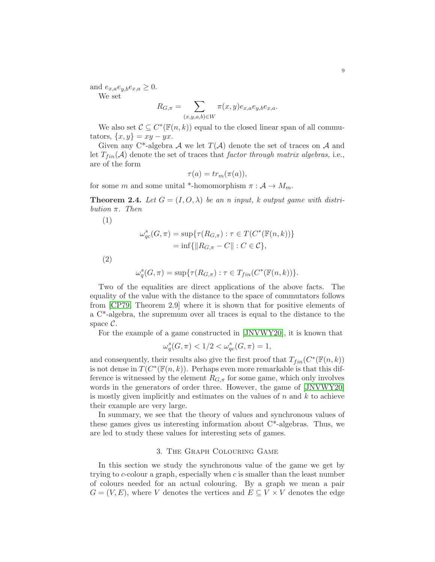and  $e_{x,a}e_{y,b}e_{x,a} \geq 0$ . We set

$$
R_{G,\pi} = \sum_{(x,y,a,b)\in W} \pi(x,y)e_{x,a}e_{y,b}e_{x,a}.
$$

We also set  $\mathcal{C} \subseteq C^*(\mathbb{F}(n,k))$  equal to the closed linear span of all commutators,  $\{x, y\} = xy - yx$ .

Given any C<sup>\*</sup>-algebra A we let  $T(A)$  denote the set of traces on A and let  $T_{fin}(\mathcal{A})$  denote the set of traces that *factor through matrix algebras*, i.e., are of the form

$$
\tau(a) = tr_m(\pi(a)),
$$

for some m and some unital \*-homomorphism  $\pi : A \to M_m$ .

**Theorem 2.4.** Let  $G = (I, O, \lambda)$  be an n input, k output game with distri*bution* π*. Then*

$$
(1)
$$

$$
\omega_{qc}^s(G, \pi) = \sup \{ \tau(R_{G, \pi}) : \tau \in T(C^*(\mathbb{F}(n, k))) \} = \inf \{ ||R_{G, \pi} - C|| : C \in \mathcal{C} \},
$$

(2)

$$
\omega_q^s(G, \pi) = \sup \{ \tau(R_{G, \pi}) : \tau \in T_{fin}(C^*(\mathbb{F}(n,k))) \}.
$$

Two of the equalities are direct applications of the above facts. The equality of the value with the distance to the space of commutators follows from [\[CP79,](#page-35-14) Theorem 2.9] where it is shown that for positive elements of a C\*-algebra, the supremum over all traces is equal to the distance to the space  $\mathcal{C}$ .

For the example of a game constructed in [\[JNVWY20\]](#page-36-0), it is known that

$$
\omega_q^s(G, \pi) < 1/2 < \omega_{qc}^s(G, \pi) = 1,
$$

and consequently, their results also give the first proof that  $T_{fin}(C^*(\mathbb{F}(n,k)))$ is not dense in  $T(C^*(\mathbb{F}(n,k))$ . Perhaps even more remarkable is that this difference is witnessed by the element  $R_{G,\pi}$  for some game, which only involves words in the generators of order three. However, the game of [\[JNVWY20\]](#page-36-0) is mostly given implicitly and estimates on the values of  $n$  and  $k$  to achieve their example are very large.

In summary, we see that the theory of values and synchronous values of these games gives us interesting information about  $C^*$ -algebras. Thus, we are led to study these values for interesting sets of games.

#### 3. The Graph Colouring Game

<span id="page-8-0"></span>In this section we study the synchronous value of the game we get by trying to c-colour a graph, especially when c is smaller than the least number of colours needed for an actual colouring. By a graph we mean a pair  $G = (V, E)$ , where V denotes the vertices and  $E \subseteq V \times V$  denotes the edge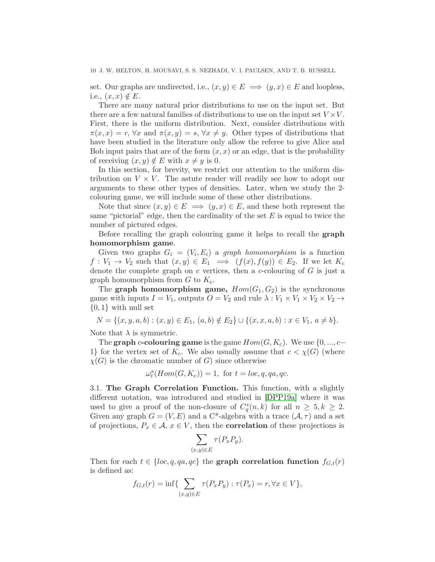set. Our graphs are undirected, i.e.,  $(x, y) \in E \implies (y, x) \in E$  and loopless, i.e.,  $(x, x) \notin E$ .

There are many natural prior distributions to use on the input set. But there are a few natural families of distributions to use on the input set  $V \times V$ . First, there is the uniform distribution. Next, consider distributions with  $\pi(x, x) = r$ ,  $\forall x$  and  $\pi(x, y) = s$ ,  $\forall x \neq y$ . Other types of distributions that have been studied in the literature only allow the referee to give Alice and Bob input pairs that are of the form  $(x, x)$  or an edge, that is the probability of receiving  $(x, y) \notin E$  with  $x \neq y$  is 0.

In this section, for brevity, we restrict our attention to the uniform distribution on  $V \times V$ . The astute reader will readily see how to adopt our arguments to these other types of densities. Later, when we study the 2 colouring game, we will include some of these other distributions.

Note that since  $(x, y) \in E \implies (y, x) \in E$ , and these both represent the same "pictorial" edge, then the cardinality of the set  $E$  is equal to twice the number of pictured edges.

Before recalling the graph colouring game it helps to recall the graph homomorphism game.

Given two graphs  $G_i = (V_i, E_i)$  a *graph homomorphism* is a function  $f: V_1 \to V_2$  such that  $(x, y) \in E_1 \implies (f(x), f(y)) \in E_2$ . If we let  $K_c$ denote the complete graph on c vertices, then a c-colouring of  $G$  is just a graph homomorphism from  $G$  to  $K_c$ .

The graph homomorphism game,  $Hom(G_1, G_2)$  is the synchronous game with inputs  $I = V_1$ , outputs  $O = V_2$  and rule  $\lambda : V_1 \times V_1 \times V_2 \times V_2 \rightarrow$  $\{0,1\}$  with null set

 $N = \{(x, y, a, b) : (x, y) \in E_1, (a, b) \notin E_2\} \cup \{(x, x, a, b) : x \in V_1, a \neq b\}.$ 

Note that  $\lambda$  is symmetric.

The graph c-colouring game is the game  $Hom(G, K_c)$ . We use  $\{0, ..., c-\}$ 1} for the vertex set of  $K_c$ . We also usually assume that  $c < \chi(G)$  (where  $\chi(G)$  is the chromatic number of G) since otherwise

$$
\omega_t^s(Hom(G,K_c))=1, \text{ for } t=loc,q,qa,qc.
$$

<span id="page-9-0"></span>3.1. The Graph Correlation Function. This function, with a slightly different notation, was introduced and studied in [\[DPP19a\]](#page-35-10) where it was used to give a proof of the non-closure of  $C_q^s(n,k)$  for all  $n \geq 5, k \geq 2$ . Given any graph  $G = (V, E)$  and a C<sup>\*</sup>-algebra with a trace  $(A, \tau)$  and a set of projections,  $P_x \in \mathcal{A}, x \in V$ , then the **correlation** of these projections is

$$
\sum_{(x,y)\in E} \tau(P_x P_y).
$$

Then for each  $t \in \{loc, q, qa, qc\}$  the graph correlation function  $f_{G,t}(r)$ is defined as:

$$
f_{G,t}(r) = \inf \{ \sum_{(x,y)\in E} \tau(P_x P_y) : \tau(P_x) = r, \forall x \in V \},
$$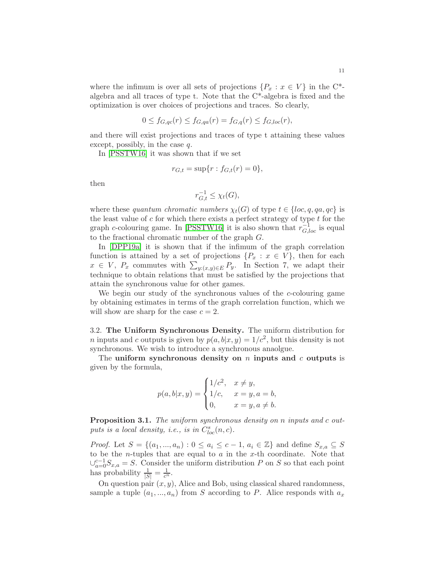where the infimum is over all sets of projections  $\{P_x : x \in V\}$  in the C<sup>\*</sup>algebra and all traces of type t. Note that the C\*-algebra is fixed and the optimization is over choices of projections and traces. So clearly,

$$
0 \le f_{G,qc}(r) \le f_{G,qa}(r) = f_{G,q}(r) \le f_{G,loc}(r),
$$

and there will exist projections and traces of type t attaining these values except, possibly, in the case q.

In [\[PSSTW16\]](#page-36-6) it was shown that if we set

$$
r_{G,t} = \sup\{r : f_{G,t}(r) = 0\},\,
$$

then

$$
r_{G,t}^{-1} \leq \chi_t(G),
$$

where these *quantum chromatic numbers*  $\chi_t(G)$  of type  $t \in \{loc, q, qa, qc\}$  is the least value of  $c$  for which there exists a perfect strategy of type  $t$  for the graph c-colouring game. In [\[PSSTW16\]](#page-36-6) it is also shown that  $r_{G,loc}^{-1}$  is equal to the fractional chromatic number of the graph G.

In [\[DPP19a\]](#page-35-10) it is shown that if the infimum of the graph correlation function is attained by a set of projections  $\{P_x : x \in V\}$ , then for each  $x \in V$ ,  $P_x$  commutes with  $\sum_{y:(x,y)\in E} P_y$ . In Section 7, we adapt their technique to obtain relations that must be satisfied by the projections that attain the synchronous value for other games.

We begin our study of the synchronous values of the c-colouring game by obtaining estimates in terms of the graph correlation function, which we will show are sharp for the case  $c = 2$ .

<span id="page-10-0"></span>3.2. The Uniform Synchronous Density. The uniform distribution for *n* inputs and *c* outputs is given by  $p(a, b|x, y) = 1/c^2$ , but this density is not synchronous. We wish to introduce a synchronous anaolgue.

The uniform synchronous density on  $n$  inputs and  $c$  outputs is given by the formula,

$$
p(a, b|x, y) = \begin{cases} 1/c^2, & x \neq y, \\ 1/c, & x = y, a = b, \\ 0, & x = y, a \neq b. \end{cases}
$$

Proposition 3.1. *The uniform synchronous density on* n *inputs and* c *out*puts is a local density, i.e., is in  $C_{loc}^s(n, c)$ .

*Proof.* Let  $S = \{(a_1, ..., a_n) : 0 \le a_i \le c-1, a_i \in \mathbb{Z}\}\)$  and define  $S_{x,a} \subseteq S$ to be the *n*-tuples that are equal to  $a$  in the  $x$ -th coordinate. Note that  $\bigcup_{a=0}^{c-1} S_{x,a} = S$ . Consider the uniform distribution P on S so that each point has probability  $\frac{1}{|S|} = \frac{1}{c^n}$ .

On question pair  $(x, y)$ , Alice and Bob, using classical shared randomness, sample a tuple  $(a_1, ..., a_n)$  from S according to P. Alice responds with  $a_x$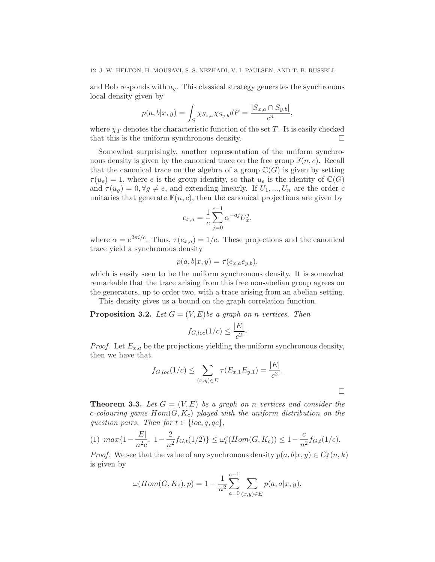and Bob responds with  $a_y$ . This classical strategy generates the synchronous local density given by

$$
p(a, b|x, y) = \int_{S} \chi_{S_{x,a}} \chi_{S_{y,b}} dP = \frac{|S_{x,a} \cap S_{y,b}|}{c^{n}},
$$

where  $\chi_T$  denotes the characteristic function of the set T. It is easily checked that this is the uniform synchronous density.  $\Box$ 

Somewhat surprisingly, another representation of the uniform synchronous density is given by the canonical trace on the free group  $\mathbb{F}(n, c)$ . Recall that the canonical trace on the algebra of a group  $\mathbb{C}(G)$  is given by setting  $\tau(u_e) = 1$ , where e is the group identity, so that  $u_e$  is the identity of  $\mathbb{C}(G)$ and  $\tau(u_q) = 0, \forall g \neq e$ , and extending linearly. If  $U_1, ..., U_n$  are the order c unitaries that generate  $F(n, c)$ , then the canonical projections are given by

$$
e_{x,a} = \frac{1}{c} \sum_{j=0}^{c-1} \alpha^{-aj} U_x^j,
$$

where  $\alpha = e^{2\pi i/c}$ . Thus,  $\tau(e_{x,a}) = 1/c$ . These projections and the canonical trace yield a synchronous density

$$
p(a,b|x,y) = \tau(e_{x,a}e_{y,b}),
$$

which is easily seen to be the uniform synchronous density. It is somewhat remarkable that the trace arising from this free non-abelian group agrees on the generators, up to order two, with a trace arising from an abelian setting.

This density gives us a bound on the graph correlation function.

**Proposition 3.2.** Let  $G = (V, E)$  be a graph on *n* vertices. Then

$$
f_{G,loc}(1/c) \le \frac{|E|}{c^2}.
$$

*Proof.* Let  $E_{x,a}$  be the projections yielding the uniform synchronous density, then we have that

$$
f_{G,loc}(1/c) \le \sum_{(x,y)\in E} \tau(E_{x,1}E_{y,1}) = \frac{|E|}{c^2}.
$$

<span id="page-11-0"></span>**Theorem 3.3.** Let  $G = (V, E)$  be a graph on n vertices and consider the c*-colouring game* Hom(G, Kc) *played with the uniform distribution on the question pairs. Then for*  $t \in \{loc, q, qc\}$ ,

$$
(1) \ \ max\{1 - \frac{|E|}{n^2c}, \ 1 - \frac{2}{n^2}f_{G,t}(1/2)\} \le \omega_t^s(Hom(G, K_c)) \le 1 - \frac{c}{n^2}f_{G,t}(1/c).
$$

*Proof.* We see that the value of any synchronous density  $p(a, b|x, y) \in C_t^s(n, k)$ is given by

$$
\omega(Hom(G, K_c), p) = 1 - \frac{1}{n^2} \sum_{a=0}^{c-1} \sum_{(x,y) \in E} p(a, a | x, y).
$$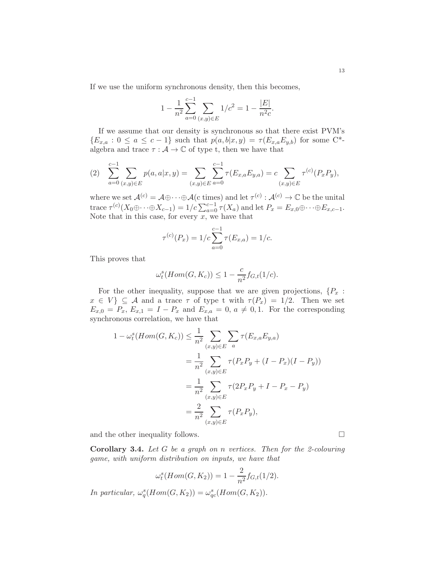If we use the uniform synchronous density, then this becomes,

$$
1 - \frac{1}{n^2} \sum_{a=0}^{c-1} \sum_{(x,y)\in E} 1/c^2 = 1 - \frac{|E|}{n^2c}.
$$

If we assume that our density is synchronous so that there exist PVM's  ${E_{x,a} : 0 \le a \le c-1}$  such that  $p(a, b|x, y) = \tau(E_{x,a}E_{y,b})$  for some C<sup>\*</sup>algebra and trace  $\tau : \mathcal{A} \to \mathbb{C}$  of type t, then we have that

$$
(2) \quad \sum_{a=0}^{c-1} \sum_{(x,y)\in E} p(a,a|x,y) = \sum_{(x,y)\in E} \sum_{a=0}^{c-1} \tau(E_{x,a}E_{y,a}) = c \sum_{(x,y)\in E} \tau^{(c)}(P_xP_y),
$$

where we set  $\mathcal{A}^{(c)} = \mathcal{A} \oplus \cdots \oplus \mathcal{A}$  (c times) and let  $\tau^{(c)} : \mathcal{A}^{(c)} \to \mathbb{C}$  be the unital trace  $\tau^{(c)}(X_0\oplus \cdots \oplus X_{c-1}) = 1/c \sum_{a=0}^{c-1} \tau(X_a)$  and let  $P_x = E_{x,0}\oplus \cdots \oplus E_{x,c-1}$ . Note that in this case, for every  $x$ , we have that

$$
\tau^{(c)}(P_x) = 1/c \sum_{a=0}^{c-1} \tau(E_{x,a}) = 1/c.
$$

This proves that

$$
\omega_t^s(Hom(G, K_c)) \le 1 - \frac{c}{n^2} f_{G,t}(1/c).
$$

For the other inequality, suppose that we are given projections,  $\{P_x$ :  $x \in V$   $\subseteq A$  and a trace  $\tau$  of type t with  $\tau(P_x) = 1/2$ . Then we set  $E_{x,0} = P_x$ ,  $E_{x,1} = I - P_x$  and  $E_{x,a} = 0$ ,  $a \neq 0,1$ . For the corresponding synchronous correlation, we have that

$$
1 - \omega_t^s(Hom(G, K_c)) \le \frac{1}{n^2} \sum_{(x,y)\in E} \sum_a \tau(E_{x,a} E_{y,a})
$$
  
= 
$$
\frac{1}{n^2} \sum_{(x,y)\in E} \tau(P_x P_y + (I - P_x)(I - P_y))
$$
  
= 
$$
\frac{1}{n^2} \sum_{(x,y)\in E} \tau(2P_x P_y + I - P_x - P_y)
$$
  
= 
$$
\frac{2}{n^2} \sum_{(x,y)\in E} \tau(P_x P_y),
$$

and the other inequality follows.  $\Box$ 

Corollary 3.4. *Let* G *be a graph on* n *vertices. Then for the 2-colouring game, with uniform distribution on inputs, we have that*

$$
\omega_t^s(Hom(G, K_2)) = 1 - \frac{2}{n^2} f_{G,t}(1/2).
$$

*In particular,*  $\omega_q^s(Hom(G, K_2)) = \omega_{qc}^s(Hom(G, K_2)).$ 

13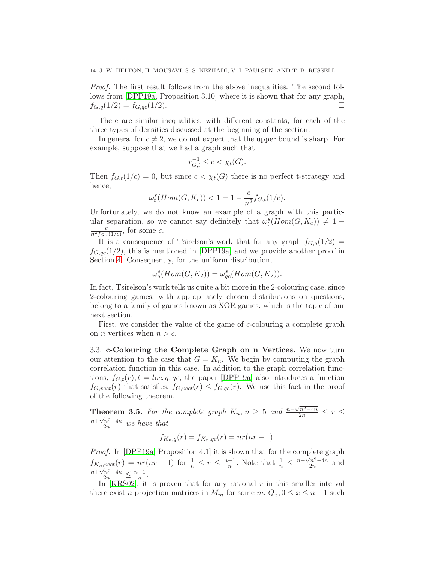*Proof.* The first result follows from the above inequalities. The second follows from [\[DPP19a,](#page-35-10) Proposition 3.10] where it is shown that for any graph,  $f_{G,q}(1/2) = f_{G,qc}(1/2).$ 

There are similar inequalities, with different constants, for each of the three types of densities discussed at the beginning of the section.

In general for  $c \neq 2$ , we do not expect that the upper bound is sharp. For example, suppose that we had a graph such that

$$
r_{G,t}^{-1} \le c < \chi_t(G).
$$

Then  $f_{G,t}(1/c) = 0$ , but since  $c < \chi_t(G)$  there is no perfect t-strategy and hence,

$$
\omega_t^s(Hom(G, K_c)) < 1 = 1 - \frac{c}{n^2} f_{G,t}(1/c).
$$

Unfortunately, we do not know an example of a graph with this particular separation, so we cannot say definitely that  $\omega_t^s(Hom(G, K_c)) \neq 1$  $\frac{c}{n^2 f_{G,t}(1/c)}$ , for some c.

It is a consequence of Tsirelson's work that for any graph  $f_{G,q}(1/2)$  =  $f_{G,ac}(1/2)$ , this is mentioned in [\[DPP19a\]](#page-35-10) and we provide another proof in Section [4.](#page-14-0) Consequently, for the uniform distribution,

$$
\omega_q^s(Hom(G, K_2)) = \omega_{qc}^s(Hom(G, K_2)).
$$

In fact, Tsirelson's work tells us quite a bit more in the 2-colouring case, since 2-colouring games, with appropriately chosen distributions on questions, belong to a family of games known as XOR games, which is the topic of our next section.

First, we consider the value of the game of c-colouring a complete graph on *n* vertices when  $n > c$ .

<span id="page-13-0"></span>3.3. c-Colouring the Complete Graph on n Vertices. We now turn our attention to the case that  $G = K_n$ . We begin by computing the graph correlation function in this case. In addition to the graph correlation functions,  $f_{G,t}(r)$ ,  $t = loc, q, qc$ , the paper [\[DPP19a\]](#page-35-10) also introduces a function  $f_{G,vect}(r)$  that satisfies,  $f_{G,vect}(r) \leq f_{G,gc}(r)$ . We use this fact in the proof of the following theorem.

<span id="page-13-1"></span>**Theorem 3.5.** For the complete graph  $K_n$ ,  $n \geq 5$  and  $\frac{n-\sqrt{n^2-4n}}{2n} \leq r \leq$  $\frac{n+\sqrt{n^2-4n}}{2n}$  *we have that* 

$$
f_{K_n,q}(r) = f_{K_n,qc}(r) = nr(nr-1).
$$

*Proof.* In [\[DPP19a,](#page-35-10) Proposition 4.1] it is shown that for the complete graph  $f_{K_n,vect}(r) = nr(nr-1)$  for  $\frac{1}{n} \leq r \leq \frac{n-1}{n}$ . Note that  $\frac{1}{n} \leq \frac{n-\sqrt{n^2-4n}}{2n}$  and  $\frac{n+\sqrt{n^2-4n}}{2n} \leq \frac{n-1}{n}.$ 

In  $[KRS02]$ , it is proven that for any rational r in this smaller interval there exist n projection matrices in  $M_m$  for some  $m, Q_x, 0 \le x \le n-1$  such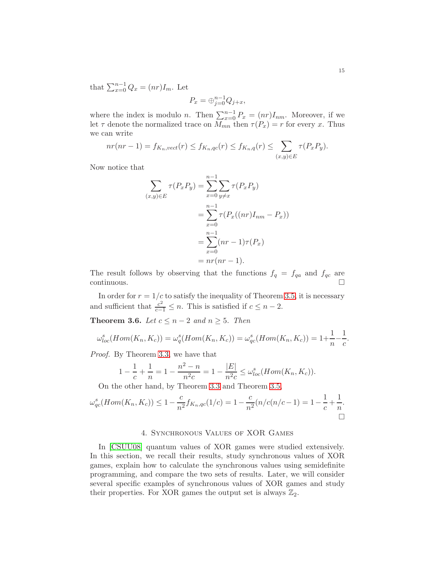that  $\sum_{x=0}^{n-1} Q_x = (nr)I_m$ . Let

$$
P_x = \bigoplus_{j=0}^{n-1} Q_{j+x},
$$

where the index is modulo *n*. Then  $\sum_{x=0}^{n-1} P_x = (nr)I_{nm}$ . Moreover, if we let  $\tau$  denote the normalized trace on  $M_{mn}$  then  $\tau(P_x) = r$  for every x. Thus we can write

$$
nr(nr-1) = f_{K_n, vect}(r) \leq f_{K_n,qc}(r) \leq f_{K_n,q}(r) \leq \sum_{(x,y)\in E} \tau(P_x P_y).
$$

Now notice that

$$
\sum_{(x,y)\in E} \tau(P_x P_y) = \sum_{x=0}^{n-1} \sum_{y\neq x} \tau(P_x P_y)
$$

$$
= \sum_{x=0}^{n-1} \tau(P_x((nr)I_{nm} - P_x))
$$

$$
= \sum_{x=0}^{n-1} (nr - 1)\tau(P_x)
$$

$$
= nr(nr - 1).
$$

The result follows by observing that the functions  $f_q = f_{qa}$  and  $f_{qc}$  are  $\Box$ continuous.

In order for  $r = 1/c$  to satisfy the inequality of Theorem [3.5,](#page-13-1) it is necessary and sufficient that  $\frac{c^2}{c-1} \leq n$ . This is satisfied if  $c \leq n-2$ .

**Theorem 3.6.** *Let*  $c \leq n-2$  *and*  $n \geq 5$ *. Then* 

$$
\omega_{loc}^s(Hom(K_n, K_c)) = \omega_q^s(Hom(K_n, K_c)) = \omega_{qc}^s(Hom(K_n, K_c)) = 1 + \frac{1}{n} - \frac{1}{c}
$$

*Proof.* By Theorem [3.3,](#page-11-0) we have that

$$
1 - \frac{1}{c} + \frac{1}{n} = 1 - \frac{n^2 - n}{n^2 c} = 1 - \frac{|E|}{n^2 c} \le \omega_{loc}^s(Hom(K_n, K_c)).
$$

On the other hand, by Theorem [3.3](#page-11-0) and Theorem [3.5,](#page-13-1)

$$
\omega_{qc}^s(Hom(K_n, K_c)) \le 1 - \frac{c}{n^2} f_{K_n, qc}(1/c) = 1 - \frac{c}{n^2} (n/c(n/c - 1)) = 1 - \frac{1}{c} + \frac{1}{n}.
$$

### 4. Synchronous Values of XOR Games

<span id="page-14-0"></span>In [\[CSUU08\]](#page-35-15) quantum values of XOR games were studied extensively. In this section, we recall their results, study synchronous values of XOR games, explain how to calculate the synchronous values using semidefinite programming, and compare the two sets of results. Later, we will consider several specific examples of synchronous values of XOR games and study their properties. For XOR games the output set is always  $\mathbb{Z}_2$ .

.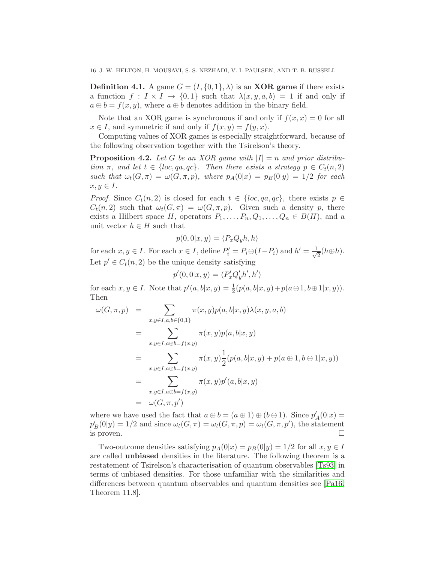**Definition 4.1.** A game  $G = (I, \{0, 1\}, \lambda)$  is an **XOR game** if there exists a function  $f: I \times I \to \{0,1\}$  such that  $\lambda(x,y,a,b) = 1$  if and only if  $a \oplus b = f(x, y)$ , where  $a \oplus b$  denotes addition in the binary field.

Note that an XOR game is synchronous if and only if  $f(x, x) = 0$  for all  $x \in I$ , and symmetric if and only if  $f(x, y) = f(y, x)$ .

Computing values of XOR games is especially straightforward, because of the following observation together with the Tsirelson's theory.

<span id="page-15-0"></span>**Proposition 4.2.** Let G be an XOR game with  $|I| = n$  and prior distribu*tion*  $\pi$ *, and let*  $t \in \{loc, qa, qc\}$ *. Then there exists a strategy*  $p \in C_t(n, 2)$ *such that*  $\omega_t(G, \pi) = \omega(G, \pi, p)$ *, where*  $p_A(0|x) = p_B(0|y) = 1/2$  *for each*  $x, y \in I$ .

*Proof.* Since  $C_t(n, 2)$  is closed for each  $t \in \{loc, qa, qc\}$ , there exists  $p \in$  $C_t(n, 2)$  such that  $\omega_t(G, \pi) = \omega(G, \pi, p)$ . Given such a density p, there exists a Hilbert space H, operators  $P_1, \ldots, P_n, Q_1, \ldots, Q_n \in B(H)$ , and a unit vector  $h \in H$  such that

$$
p(0,0|x,y) = \langle P_x Q_y h, h \rangle
$$

for each  $x, y \in I$ . For each  $x \in I$ , define  $P'_i = P_i \oplus (I - P_i)$  and  $h' = \frac{1}{\sqrt{2\pi}}$  $\frac{1}{2}(h \oplus h).$ Let  $p' \in C_t(n, 2)$  be the unique density satisfying

$$
p'(0,0|x,y) = \langle P'_x Q'_y h',h' \rangle
$$

for each  $x, y \in I$ . Note that  $p'(a, b|x, y) = \frac{1}{2}(p(a, b|x, y) + p(a \oplus 1, b \oplus 1|x, y)).$ Then

$$
\omega(G, \pi, p) = \sum_{x, y \in I, a, b \in \{0, 1\}} \pi(x, y) p(a, b | x, y) \lambda(x, y, a, b)
$$
  
\n
$$
= \sum_{x, y \in I, a \oplus b = f(x, y)} \pi(x, y) p(a, b | x, y)
$$
  
\n
$$
= \sum_{x, y \in I, a \oplus b = f(x, y)} \pi(x, y) \frac{1}{2} (p(a, b | x, y) + p(a \oplus 1, b \oplus 1 | x, y))
$$
  
\n
$$
= \sum_{x, y \in I, a \oplus b = f(x, y)} \pi(x, y) p'(a, b | x, y)
$$
  
\n
$$
= \omega(G, \pi, p')
$$

where we have used the fact that  $a \oplus b = (a \oplus 1) \oplus (b \oplus 1)$ . Since  $p'_{A}(0|x) =$  $p'_B(0|y) = 1/2$  and since  $\omega_t(G, \pi) = \omega_t(G, \pi, p) = \omega_t(G, \pi, p')$ , the statement is proven.  $\Box$ 

Two-outcome densities satisfying  $p_A(0|x) = p_B(0|y) = 1/2$  for all  $x, y \in I$ are called unbiased densities in the literature. The following theorem is a restatement of Tsirelson's characterisation of quantum observables [\[Ts93\]](#page-36-11) in terms of unbiased densities. For those unfamiliar with the similarities and differences between quantum observables and quantum densities see [\[Pa16,](#page-36-12) Theorem 11.8].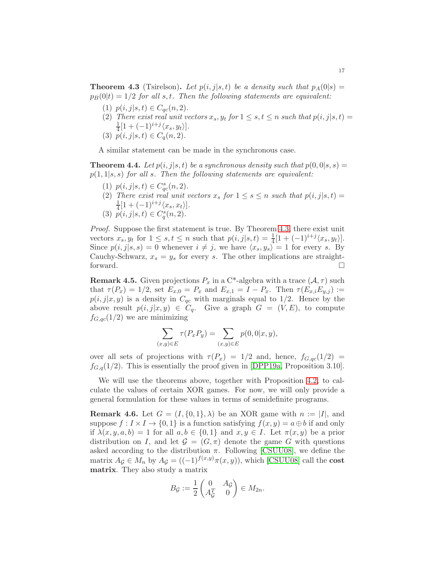<span id="page-16-0"></span>**Theorem 4.3** (Tsirelson). Let  $p(i, j|s, t)$  be a density such that  $p_A(0|s)$  =  $p_B(0|t) = 1/2$  *for all s,t. Then the following statements are equivalent:* 

- (1)  $p(i, j|s, t) \in C_{qc}(n, 2)$ *.*
- (2) *There exist real unit vectors*  $x_s, y_t$  *for*  $1 \leq s, t \leq n$  *such that*  $p(i, j|s, t) =$ 1  $\frac{1}{4} [1 + (-1)^{i+j} \langle x_s, y_t \rangle].$
- (3)  $p(i, j|s, t) \in C_q(n, 2)$ *.*

A similar statement can be made in the synchronous case.

<span id="page-16-1"></span>**Theorem 4.4.** Let  $p(i, j|s, t)$  be a synchronous density such that  $p(0, 0|s, s)$  = p(1, 1|s, s) *for all* s*. Then the following statements are equivalent:*

- (1)  $p(i, j|s, t) \in C_{qc}^s(n, 2)$ *.*
- (2) There exist real unit vectors  $x_s$  for  $1 \leq s \leq n$  such that  $p(i, j|s, t) =$ 1  $\frac{1}{4} [1 + (-1)^{i+j} \langle x_s, x_t \rangle].$
- (3)  $\overline{p}(i, j | s, t) \in C_q^s(n, 2)$ *.*

*Proof.* Suppose the first statement is true. By Theorem [4.3,](#page-16-0) there exist unit vectors  $x_s, y_t$  for  $1 \leq s, t \leq n$  such that  $p(i, j|s, t) = \frac{1}{4}[1 + (-1)^{i+j} \langle x_s, y_t \rangle].$ Since  $p(i, j|s, s) = 0$  whenever  $i \neq j$ , we have  $\langle x_s, y_s \rangle = 1$  for every s. By Cauchy-Schwarz,  $x_s = y_s$  for every s. The other implications are straightforward.

**Remark 4.5.** Given projections  $P_x$  in a C<sup>\*</sup>-algebra with a trace  $(A, \tau)$  such that  $\tau(P_x) = 1/2$ , set  $E_{x,0} = P_x$  and  $E_{x,1} = I - P_x$ . Then  $\tau(E_{x,i}E_{y,j}) :=$  $p(i, j|x, y)$  is a density in  $C_{qc}$  with marginals equal to 1/2. Hence by the above result  $p(i, j|x, y) \in C_q$ . Give a graph  $G = (V, E)$ , to compute  $f_{G,qc}(1/2)$  we are minimizing

$$
\sum_{(x,y)\in E} \tau(P_x P_y) = \sum_{(x,y)\in E} p(0,0|x,y),
$$

over all sets of projections with  $\tau(P_x) = 1/2$  and, hence,  $f_{G,qc}(1/2)$  $f_{G,q}(1/2)$ . This is essentially the proof given in [\[DPP19a,](#page-35-10) Proposition 3.10].

We will use the theorems above, together with Proposition [4.2,](#page-15-0) to calculate the values of certain XOR games. For now, we will only provide a general formulation for these values in terms of semidefinite programs.

**Remark 4.6.** Let  $G = (I, \{0, 1\}, \lambda)$  be an XOR game with  $n := |I|$ , and suppose  $f: I \times I \to \{0,1\}$  is a function satisfying  $f(x, y) = a \oplus b$  if and only if  $\lambda(x, y, a, b) = 1$  for all  $a, b \in \{0, 1\}$  and  $x, y \in I$ . Let  $\pi(x, y)$  be a prior distribution on I, and let  $\mathcal{G} = (G, \pi)$  denote the game G with questions asked according to the distribution  $\pi$ . Following [\[CSUU08\]](#page-35-15), we define the matrix  $A_{\mathcal{G}} \in M_n$  by  $A_{\mathcal{G}} = ((-1)^{f(x,y)} \pi(x, y))$ , which [\[CSUU08\]](#page-35-15) call the cost matrix. They also study a matrix

$$
B_{\mathcal{G}} := \frac{1}{2} \begin{pmatrix} 0 & A_{\mathcal{G}} \\ A_{\mathcal{G}}^T & 0 \end{pmatrix} \in M_{2n}.
$$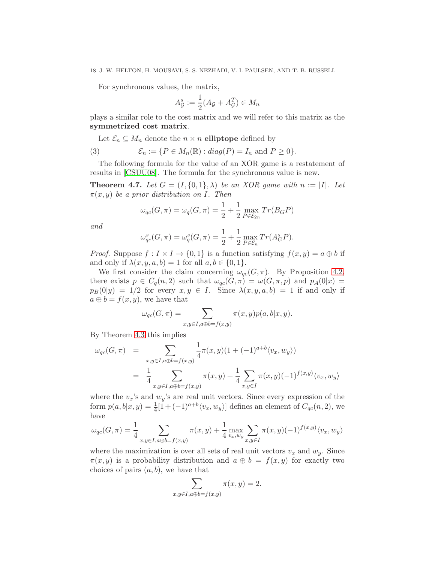For synchronous values, the matrix,

$$
A_{\mathcal{G}}^{s} := \frac{1}{2}(A_{\mathcal{G}} + A_{\mathcal{G}}^{T}) \in M_{n}
$$

plays a similar role to the cost matrix and we will refer to this matrix as the symmetrized cost matrix.

<span id="page-17-1"></span>Let  $\mathcal{E}_n \subseteq M_n$  denote the  $n \times n$  elliptope defined by

(3) 
$$
\mathcal{E}_n := \{ P \in M_n(\mathbb{R}) : diag(P) = I_n \text{ and } P \geq 0 \}.
$$

The following formula for the value of an XOR game is a restatement of results in [\[CSUU08\]](#page-35-15). The formula for the synchronous value is new.

<span id="page-17-0"></span>**Theorem 4.7.** Let  $G = (I, \{0, 1\}, \lambda)$  be an XOR game with  $n := |I|$ . Let  $\pi(x, y)$  *be a prior distribution on I*. Then

$$
\omega_{qc}(G,\pi) = \omega_q(G,\pi) = \frac{1}{2} + \frac{1}{2} \max_{P \in \mathcal{E}_{2n}} Tr(B_G P)
$$

*and*

$$
\omega_{qc}^s(G, \pi) = \omega_q^s(G, \pi) = \frac{1}{2} + \frac{1}{2} \max_{P \in \mathcal{E}_n} Tr(A_G^s P).
$$

*Proof.* Suppose  $f: I \times I \to \{0,1\}$  is a function satisfying  $f(x,y) = a \oplus b$  if and only if  $\lambda(x, y, a, b) = 1$  for all  $a, b \in \{0, 1\}.$ 

We first consider the claim concerning  $\omega_{qc}(G, \pi)$ . By Proposition [4.2,](#page-15-0) there exists  $p \in C_q(n,2)$  such that  $\omega_{qc}(G,\pi) = \omega(G,\pi,p)$  and  $p_A(0|x) =$  $p_B(0|y) = 1/2$  for every  $x, y \in I$ . Since  $\lambda(x, y, a, b) = 1$  if and only if  $a \oplus b = f(x, y)$ , we have that

$$
\omega_{qc}(G, \pi) = \sum_{x, y \in I, a \oplus b = f(x, y)} \pi(x, y) p(a, b|x, y).
$$

By Theorem [4.3](#page-16-0) this implies

$$
\omega_{qc}(G, \pi) = \sum_{x, y \in I, a \oplus b = f(x, y)} \frac{1}{4} \pi(x, y)(1 + (-1)^{a+b} \langle v_x, w_y \rangle)
$$
  
= 
$$
\frac{1}{4} \sum_{x, y \in I, a \oplus b = f(x, y)} \pi(x, y) + \frac{1}{4} \sum_{x, y \in I} \pi(x, y)(-1)^{f(x, y)} \langle v_x, w_y \rangle
$$

where the  $v_x$ 's and  $w_y$ 's are real unit vectors. Since every expression of the form  $p(a, b|x, y) = \frac{1}{4}[1 + (-1)^{a+b} \langle v_x, w_y \rangle]$  defines an element of  $C_{qc}(n, 2)$ , we have

$$
\omega_{qc}(G, \pi) = \frac{1}{4} \sum_{x, y \in I, a \oplus b = f(x, y)} \pi(x, y) + \frac{1}{4} \max_{v_x, w_y} \sum_{x, y \in I} \pi(x, y) (-1)^{f(x, y)} \langle v_x, w_y \rangle
$$

where the maximization is over all sets of real unit vectors  $v_x$  and  $w_y$ . Since  $\pi(x, y)$  is a probability distribution and  $a \oplus b = f(x, y)$  for exactly two choices of pairs  $(a, b)$ , we have that

$$
\sum_{x,y\in I, a\oplus b=f(x,y)} \pi(x,y)=2.
$$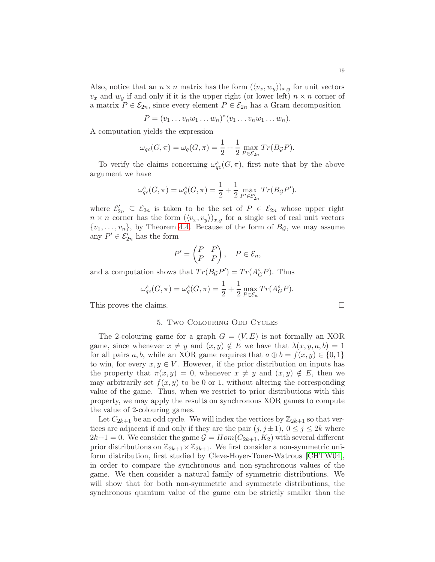Also, notice that an  $n \times n$  matrix has the form  $(\langle v_x, w_y \rangle)_{x,y}$  for unit vectors  $v_x$  and  $w_y$  if and only if it is the upper right (or lower left)  $n \times n$  corner of a matrix  $P \in \mathcal{E}_{2n}$ , since every element  $P \in \mathcal{E}_{2n}$  has a Gram decomposition

$$
P=(v_1 \ldots v_n w_1 \ldots w_n)^*(v_1 \ldots v_n w_1 \ldots w_n).
$$

A computation yields the expression

$$
\omega_{qc}(G,\pi) = \omega_q(G,\pi) = \frac{1}{2} + \frac{1}{2} \max_{P \in \mathcal{E}_{2n}} Tr(B_{\mathcal{G}}P).
$$

To verify the claims concerning  $\omega_{qc}^s(G, \pi)$ , first note that by the above argument we have

$$
\omega_{qc}^s(G, \pi) = \omega_q^s(G, \pi) = \frac{1}{2} + \frac{1}{2} \max_{P' \in \mathcal{E}_{2n}'} Tr(B_{\mathcal{G}} P').
$$

where  $\mathcal{E}_{2n}' \subseteq \mathcal{E}_{2n}$  is taken to be the set of  $P \in \mathcal{E}_{2n}$  whose upper right  $n \times n$  corner has the form  $(\langle v_x, v_y \rangle)_{x,y}$  for a single set of real unit vectors  $\{v_1, \ldots, v_n\}$ , by Theorem [4.4.](#page-16-1) Because of the form of  $B_{\mathcal{G}}$ , we may assume any  $P' \in \mathcal{E}_{2n}'$  has the form

$$
P' = \begin{pmatrix} P & P \\ P & P \end{pmatrix}, \quad P \in \mathcal{E}_n,
$$

and a computation shows that  $Tr(B_{\mathcal{G}}P') = Tr(A_{\mathcal{G}}^s P)$ . Thus

$$
\omega_{qc}^s(G, \pi) = \omega_q^s(G, \pi) = \frac{1}{2} + \frac{1}{2} \max_{P \in \mathcal{E}_n} Tr(A_G^s P).
$$

<span id="page-18-0"></span>This proves the claims.

#### 5. Two Colouring Odd Cycles

The 2-colouring game for a graph  $G = (V, E)$  is not formally an XOR game, since whenever  $x \neq y$  and  $(x, y) \notin E$  we have that  $\lambda(x, y, a, b) = 1$ for all pairs a, b, while an XOR game requires that  $a \oplus b = f(x, y) \in \{0, 1\}$ to win, for every  $x, y \in V$ . However, if the prior distribution on inputs has the property that  $\pi(x, y) = 0$ , whenever  $x \neq y$  and  $(x, y) \notin E$ , then we may arbitrarily set  $f(x, y)$  to be 0 or 1, without altering the corresponding value of the game. Thus, when we restrict to prior distributions with this property, we may apply the results on synchronous XOR games to compute the value of 2-colouring games.

Let  $C_{2k+1}$  be an odd cycle. We will index the vertices by  $\mathbb{Z}_{2k+1}$  so that vertices are adjacent if and only if they are the pair  $(j, j \pm 1)$ ,  $0 \le j \le 2k$  where  $2k+1=0$ . We consider the game  $\mathcal{G} = Hom(C_{2k+1}, K_2)$  with several different prior distributions on  $\mathbb{Z}_{2k+1}\times\mathbb{Z}_{2k+1}$ . We first consider a non-symmetric uniform distribution, first studied by Cleve-Hoyer-Toner-Watrous [\[CHTW04\]](#page-35-7), in order to compare the synchronous and non-synchronous values of the game. We then consider a natural family of symmetric distributions. We will show that for both non-symmetric and symmetric distributions, the synchronous quantum value of the game can be strictly smaller than the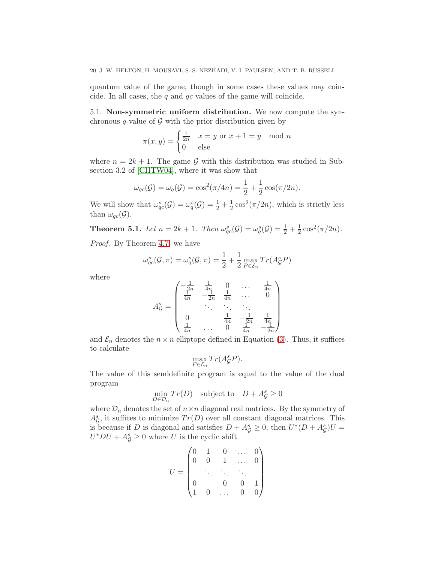quantum value of the game, though in some cases these values may coincide. In all cases, the  $q$  and  $qc$  values of the game will coincide.

<span id="page-19-0"></span>5.1. Non-symmetric uniform distribution. We now compute the synchronous q-value of  $\mathcal G$  with the prior distribution given by

$$
\pi(x, y) = \begin{cases} \frac{1}{2n} & x = y \text{ or } x + 1 = y \mod n \\ 0 & \text{else} \end{cases}
$$

where  $n = 2k + 1$ . The game G with this distribution was studied in Subsection 3.2 of [\[CHTW04\]](#page-35-7), where it was show that

$$
\omega_{qc}(\mathcal{G}) = \omega_q(\mathcal{G}) = \cos^2(\pi/4n) = \frac{1}{2} + \frac{1}{2}\cos(\pi/2n).
$$

We will show that  $\omega_{qc}^s(\mathcal{G}) = \omega_q^s(\mathcal{G}) = \frac{1}{2} + \frac{1}{2}$  $\frac{1}{2}\cos^2(\pi/2n)$ , which is strictly less than  $\omega_{qc}(\mathcal{G})$ .

<span id="page-19-1"></span>**Theorem 5.1.** *Let*  $n = 2k + 1$ *. Then*  $\omega_{qc}^s(\mathcal{G}) = \omega_q^s(\mathcal{G}) = \frac{1}{2} + \frac{1}{2}$  $\frac{1}{2}\cos^2(\pi/2n)$ .

*Proof.* By Theorem [4.7,](#page-17-0) we have

$$
\omega_{qc}^s(\mathcal{G}, \pi) = \omega_q^s(\mathcal{G}, \pi) = \frac{1}{2} + \frac{1}{2} \max_{P \in \mathcal{E}_n} Tr(A_{\mathcal{G}}^s P)
$$

where

$$
A_{\mathcal{G}}^{s} = \begin{pmatrix} -\frac{1}{2n} & \frac{1}{4n} & 0 & \cdots & \frac{1}{4n} \\ \frac{1}{4n} & -\frac{1}{2n} & \frac{1}{4n} & \cdots & 0 \\ \ddots & \ddots & \ddots & \ddots \\ 0 & & \frac{1}{4n} & -\frac{1}{2n} & \frac{1}{4n} \\ \frac{1}{4n} & \cdots & 0 & \frac{1}{4n} & -\frac{1}{2n} \end{pmatrix}
$$

and  $\mathcal{E}_n$  denotes the  $n \times n$  elliptope defined in Equation [\(3\)](#page-17-1). Thus, it suffices to calculate

$$
\max_{P \in \mathcal{E}_n} Tr(A_{\mathcal{G}}^s P).
$$

The value of this semidefinite program is equal to the value of the dual program

> min  $D \in \mathcal{D}_n$  $Tr(D)$  subject to  $D + A_{\mathcal{G}}^{s} \geq 0$

where  $\mathcal{D}_n$  denotes the set of  $n \times n$  diagonal real matrices. By the symmetry of  $A_G^s$ , it suffices to minimize  $Tr(D)$  over all constant diagonal matrices. This is because if D is diagonal and satisfies  $D + A_g^s \geq 0$ , then  $U^*(D + A_g^s)U =$  $U^*DU + A^s_{\mathcal{G}} \geq 0$  where U is the cyclic shift

$$
U = \begin{pmatrix} 0 & 1 & 0 & \dots & 0 \\ 0 & 0 & 1 & \dots & 0 \\ & \ddots & \ddots & \ddots & \ddots \\ 0 & & 0 & 0 & 1 \\ 1 & 0 & \dots & 0 & 0 \end{pmatrix}
$$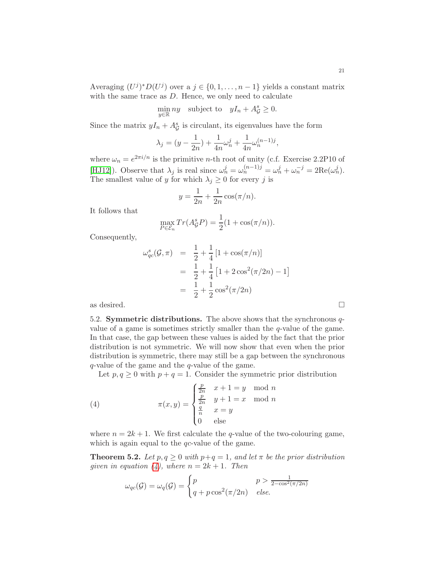Averaging  $(U^j)^* D(U^j)$  over a  $j \in \{0, 1, ..., n-1\}$  yields a constant matrix with the same trace as  $D$ . Hence, we only need to calculate

 $\min_{y \in \mathbb{R}} ny$  subject to  $yI_n + A_{\mathcal{G}}^s \geq 0$ .

Since the matrix  $yI_n + A_{\mathcal{G}}^s$  is circulant, its eigenvalues have the form

$$
\lambda_j=(y-\frac{1}{2n})+\frac{1}{4n}\omega_n^j+\frac{1}{4n}\omega_n^{(n-1)j},
$$

where  $\omega_n = e^{2\pi i/n}$  is the primitive *n*-th root of unity (c.f. Exercise 2.2P10 of [\[HJ12\]](#page-35-16)). Observe that  $\lambda_j$  is real since  $\omega_n^j = \omega_n^{(n-1)j} = \omega_n^j + \omega_n^{-j} = 2\text{Re}(\omega_n^j)$ . The smallest value of y for which  $\lambda_j \geq 0$  for every j is

$$
y = \frac{1}{2n} + \frac{1}{2n} \cos(\pi/n).
$$

It follows that

$$
\max_{P \in \mathcal{E}_n} Tr(A^s_{\mathcal{G}} P) = \frac{1}{2} (1 + \cos(\pi/n)).
$$

Consequently,

$$
\omega_{qc}^s(\mathcal{G}, \pi) = \frac{1}{2} + \frac{1}{4} [1 + \cos(\pi/n)]
$$
  
=  $\frac{1}{2} + \frac{1}{4} [1 + 2 \cos^2(\pi/2n) - 1]$   
=  $\frac{1}{2} + \frac{1}{2} \cos^2(\pi/2n)$   
as desired.

<span id="page-20-0"></span>

5.2. **Symmetric distributions.** The above shows that the synchronous  $q$ value of a game is sometimes strictly smaller than the  $q$ -value of the game. In that case, the gap between these values is aided by the fact that the prior distribution is not symmetric. We will now show that even when the prior distribution is symmetric, there may still be a gap between the synchronous q-value of the game and the q-value of the game.

<span id="page-20-1"></span>Let  $p, q \ge 0$  with  $p + q = 1$ . Consider the symmetric prior distribution

(4) 
$$
\pi(x,y) = \begin{cases} \frac{p}{2n} & x+1=y \mod n \\ \frac{p}{2n} & y+1=x \mod n \\ \frac{q}{n} & x=y \\ 0 & \text{else} \end{cases}
$$

where  $n = 2k + 1$ . We first calculate the q-value of the two-colouring game, which is again equal to the  $qc$ -value of the game.

<span id="page-20-2"></span>**Theorem 5.2.** Let  $p, q \geq 0$  with  $p+q = 1$ , and let  $\pi$  be the prior distribution *given in equation*  $(4)$ *, where*  $n = 2k + 1$ *. Then* 

$$
\omega_{qc}(\mathcal{G}) = \omega_q(\mathcal{G}) = \begin{cases} p & p > \frac{1}{2 - \cos^2(\pi/2n)} \\ q + p \cos^2(\pi/2n) & else. \end{cases}
$$

21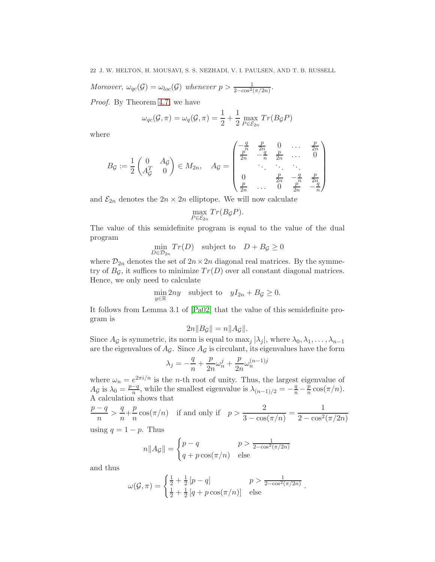*Moreover,*  $\omega_{qc}(\mathcal{G}) = \omega_{loc}(\mathcal{G})$  whenever  $p > \frac{1}{2-\cos^2(\pi/2n)}$ .

*Proof.* By Theorem [4.7,](#page-17-0) we have

$$
\omega_{qc}(\mathcal{G}, \pi) = \omega_q(\mathcal{G}, \pi) = \frac{1}{2} + \frac{1}{2} \max_{P \in \mathcal{E}_{2n}} Tr(B_{\mathcal{G}}P)
$$

where

$$
B_{\mathcal{G}} := \frac{1}{2} \begin{pmatrix} 0 & A_{\mathcal{G}} \\ A_{\mathcal{G}}^T & 0 \end{pmatrix} \in M_{2n}, \quad A_{\mathcal{G}} = \begin{pmatrix} -\frac{q}{n} & \frac{p}{2n} & 0 & \cdots & \frac{p}{2n} \\ \frac{p}{2n} & -\frac{q}{n} & \frac{p}{2n} & \cdots & 0 \\ & \ddots & \ddots & \ddots & \vdots \\ 0 & \frac{p}{2n} & -\frac{q}{n} & \frac{p}{2n} \\ \frac{p}{2n} & \cdots & 0 & \frac{p}{2n} & -\frac{q}{n} \end{pmatrix}
$$

and  $\mathcal{E}_{2n}$  denotes the  $2n \times 2n$  elliptope. We will now calculate

$$
\max_{P \in \mathcal{E}_{2n}} Tr(B_{\mathcal{G}}P).
$$

The value of this semidefinite program is equal to the value of the dual program

$$
\min_{D \in \mathcal{D}_{2n}} Tr(D) \quad \text{subject to} \quad D + B_{\mathcal{G}} \ge 0
$$

where  $\mathcal{D}_{2n}$  denotes the set of  $2n \times 2n$  diagonal real matrices. By the symmetry of  $B_{\mathcal{G}}$ , it suffices to minimize  $Tr(D)$  over all constant diagonal matrices. Hence, we only need to calculate

$$
\min_{y \in \mathbb{R}} 2ny \quad \text{subject to} \quad yI_{2n} + B_{\mathcal{G}} \ge 0.
$$

It follows from Lemma 3.1 of [\[Pa02\]](#page-36-13) that the value of this semidefinite program is

$$
2n||B_{\mathcal{G}}|| = n||A_{\mathcal{G}}||.
$$

Since  $A_G$  is symmetric, its norm is equal to max<sub>i</sub>  $|\lambda_i|$ , where  $\lambda_0, \lambda_1, \ldots, \lambda_{n-1}$ are the eigenvalues of  $A_{\mathcal{G}}$ . Since  $A_{\mathcal{G}}$  is circulant, its eigenvalues have the form

$$
\lambda_j=-\frac{q}{n}+\frac{p}{2n}\omega_n^j+\frac{p}{2n}\omega_n^{(n-1)j}
$$

where  $\omega_n = e^{2\pi i/n}$  is the *n*-th root of unity. Thus, the largest eigenvalue of  $A_{\mathcal{G}}$  is  $\lambda_0 = \frac{p-q}{n}$ , while the smallest eigenvalue is  $\lambda_{(n-1)/2} = -\frac{q}{n} - \frac{p}{n}$  $\frac{p}{n} \cos(\pi/n)$ . A calculation shows that

 $p - q$  $\frac{-q}{n} > \frac{q}{n}$  $\frac{q}{n} + \frac{p}{n}$  $\frac{p}{n}\cos(\pi/n)$  if and only if  $p > \frac{2}{3 - \cos n}$  $\frac{2}{3 - \cos(\pi/n)} = \frac{1}{2 - \cos^2(\pi n)}$  $2 - \cos^2(\pi/2n)$ 

using  $q = 1 - p$ . Thus

$$
n||A_{\mathcal{G}}|| = \begin{cases} p - q & p > \frac{1}{2 - \cos^2(\pi/2n)} \\ q + p \cos(\pi/n) & \text{else} \end{cases}
$$

and thus

$$
\omega(\mathcal{G}, \pi) = \begin{cases} \frac{1}{2} + \frac{1}{2} [p - q] & p > \frac{1}{2 - \cos^2(\pi/2n)} \\ \frac{1}{2} + \frac{1}{2} [q + p \cos(\pi/n)] & \text{else} \end{cases}.
$$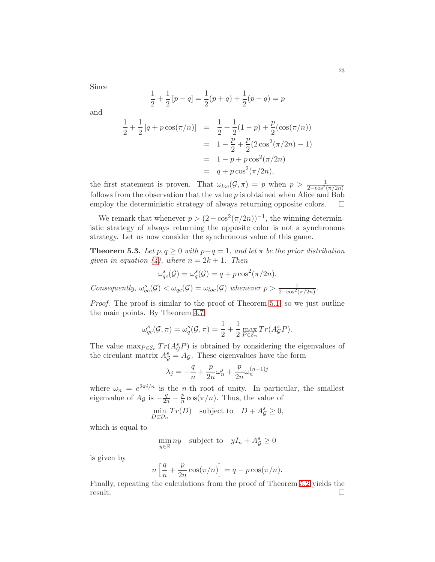Since

$$
\frac{1}{2} + \frac{1}{2}[p - q] = \frac{1}{2}(p + q) + \frac{1}{2}(p - q) = p
$$

and

$$
\frac{1}{2} + \frac{1}{2} [q + p \cos(\pi/n)] = \frac{1}{2} + \frac{1}{2} (1 - p) + \frac{p}{2} (\cos(\pi/n))
$$
  
=  $1 - \frac{p}{2} + \frac{p}{2} (2 \cos^2(\pi/2n) - 1)$   
=  $1 - p + p \cos^2(\pi/2n)$   
=  $q + p \cos^2(\pi/2n)$ ,

the first statement is proven. That  $\omega_{loc}(\mathcal{G}, \pi) = p$  when  $p > \frac{1}{2-\cos^2(\pi/2n)}$ follows from the observation that the value  $p$  is obtained when Alice and Bob employ the deterministic strategy of always returning opposite colors.

We remark that whenever  $p > (2 - \cos^2(\pi/2n))^{-1}$ , the winning deterministic strategy of always returning the opposite color is not a synchronous strategy. Let us now consider the synchronous value of this game.

**Theorem 5.3.** *Let*  $p, q \geq 0$  *with*  $p+q = 1$ *, and let*  $\pi$  *be the prior distribution given in equation*  $(4)$ *, where*  $n = 2k + 1$ *. Then* 

$$
\omega_{qc}^s(\mathcal{G}) = \omega_q^s(\mathcal{G}) = q + p \cos^2(\pi/2n).
$$

Consequently,  $\omega_{qc}^s(\mathcal{G}) < \omega_{qc}(\mathcal{G}) = \omega_{loc}(\mathcal{G})$  whenever  $p > \frac{1}{2-\cos^2(\pi/2n)}$ .

*Proof.* The proof is similar to the proof of Theorem [5.1,](#page-19-1) so we just outline the main points. By Theorem [4.7,](#page-17-0)

$$
\omega_{qc}^s(\mathcal{G}, \pi) = \omega_q^s(\mathcal{G}, \pi) = \frac{1}{2} + \frac{1}{2} \max_{P \in \mathcal{E}_n} Tr(A_Q^s P).
$$

The value  $\max_{P \in \mathcal{E}_n} Tr(A_{\mathcal{G}}^s P)$  is obtained by considering the eigenvalues of the circulant matrix  $A_{\mathcal{G}}^{s} = A_{\mathcal{G}}$ . These eigenvalues have the form

$$
\lambda_j = -\frac{q}{n} + \frac{p}{2n}\omega_n^j + \frac{p}{2n}\omega_n^{(n-1)j}
$$

where  $\omega_n = e^{2\pi i/n}$  is the *n*-th root of unity. In particular, the smallest eigenvalue of  $A_{\mathcal{G}}$  is  $-\frac{q}{2n} - \frac{p}{n}$  $\frac{p}{n} \cos(\pi/n)$ . Thus, the value of

$$
\min_{D \in \mathcal{D}_n} Tr(D) \quad \text{subject to} \quad D + A^s_{\mathcal{G}} \ge 0,
$$

which is equal to

$$
\min_{y \in \mathbb{R}} ny \quad \text{subject to} \quad yI_n + A_{\mathcal{G}}^s \ge 0
$$

is given by

$$
n\left[\frac{q}{n} + \frac{p}{2n}\cos(\pi/n)\right] = q + p\cos(\pi/n).
$$

Finally, repeating the calculations from the proof of Theorem [5.2](#page-20-2) yields the result.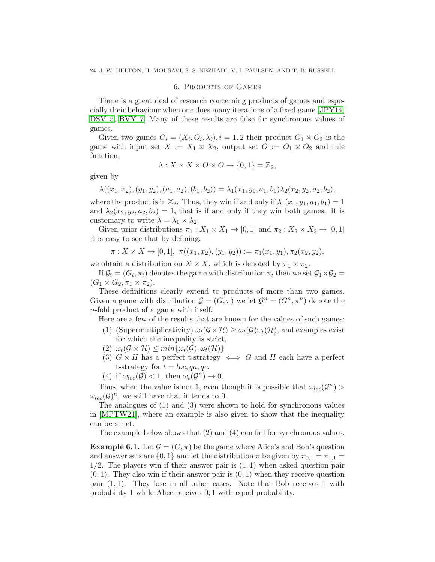#### 6. Products of Games

<span id="page-23-0"></span>There is a great deal of research concerning products of games and especially their behaviour when one does many iterations of a fixed game.[\[JPY14,](#page-36-14) [DSV15,](#page-35-17) [BVY17\]](#page-35-18) Many of these results are false for synchronous values of games.

Given two games  $G_i = (X_i, O_i, \lambda_i), i = 1, 2$  their product  $G_1 \times G_2$  is the game with input set  $X := X_1 \times X_2$ , output set  $O := O_1 \times O_2$  and rule function,

$$
\lambda: X \times X \times O \times O \to \{0,1\} = \mathbb{Z}_2,
$$

given by

 $\lambda((x_1, x_2), (y_1, y_2), (a_1, a_2), (b_1, b_2)) = \lambda_1(x_1, y_1, a_1, b_1)\lambda_2(x_2, y_2, a_2, b_2).$ 

where the product is in  $\mathbb{Z}_2$ . Thus, they win if and only if  $\lambda_1(x_1, y_1, a_1, b_1) = 1$ and  $\lambda_2(x_2, y_2, a_2, b_2) = 1$ , that is if and only if they win both games. It is customary to write  $\lambda = \lambda_1 \times \lambda_2$ .

Given prior distributions  $\pi_1 : X_1 \times X_1 \to [0,1]$  and  $\pi_2 : X_2 \times X_2 \to [0,1]$ it is easy to see that by defining,

$$
\pi: X \times X \to [0,1], \ \pi((x_1,x_2),(y_1,y_2)) := \pi_1(x_1,y_1), \pi_2(x_2,y_2),
$$

we obtain a distribution on  $X \times X$ , which is denoted by  $\pi_1 \times \pi_2$ .

If  $\mathcal{G}_i = (G_i, \pi_i)$  denotes the game with distribution  $\pi_i$  then we set  $\mathcal{G}_1 \times \mathcal{G}_2 =$  $(G_1 \times G_2, \pi_1 \times \pi_2).$ 

These definitions clearly extend to products of more than two games. Given a game with distribution  $\mathcal{G} = (G, \pi)$  we let  $\mathcal{G}^n = (G^n, \pi^n)$  denote the n-fold product of a game with itself.

Here are a few of the results that are known for the values of such games:

- (1) (Supermultiplicativity)  $\omega_t(G \times \mathcal{H}) \geq \omega_t(G)\omega_t(\mathcal{H})$ , and examples exist for which the inequality is strict,
- (2)  $\omega_t(G \times \mathcal{H}) \leq min\{\omega_t(G), \omega_t(\mathcal{H})\}$
- (3)  $G \times H$  has a perfect t-strategy  $\iff G$  and H each have a perfect t-strategy for  $t = loc, qa, qc.$
- (4) if  $\omega_{loc}(\mathcal{G}) < 1$ , then  $\omega_t(\mathcal{G}^n) \to 0$ .

Thus, when the value is not 1, even though it is possible that  $\omega_{loc}(\mathcal{G}^n)$  $\omega_{loc}(\mathcal{G})^n$ , we still have that it tends to 0.

The analogues of (1) and (3) were shown to hold for synchronous values in [\[MPTW21\]](#page-36-15), where an example is also given to show that the inequality can be strict.

The example below shows that (2) and (4) can fail for synchronous values.

<span id="page-23-1"></span>**Example 6.1.** Let  $\mathcal{G} = (G, \pi)$  be the game where Alice's and Bob's question and answer sets are  $\{0,1\}$  and let the distribution  $\pi$  be given by  $\pi_{0,1} = \pi_{1,1} =$  $1/2$ . The players win if their answer pair is  $(1, 1)$  when asked question pair  $(0, 1)$ . They also win if their answer pair is  $(0, 1)$  when they receive question pair  $(1, 1)$ . They lose in all other cases. Note that Bob receives 1 with probability 1 while Alice receives 0, 1 with equal probability.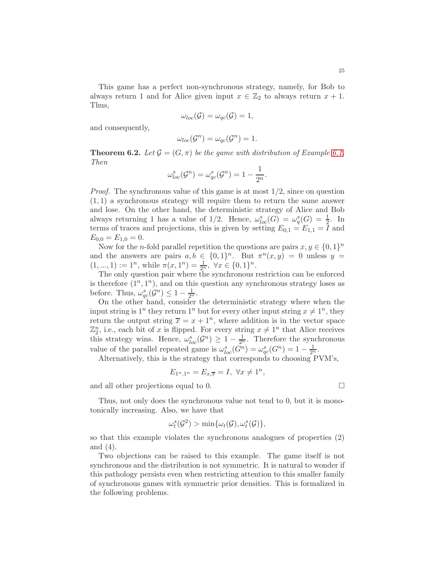This game has a perfect non-synchronous strategy, namely, for Bob to always return 1 and for Alice given input  $x \in \mathbb{Z}_2$  to always return  $x + 1$ . Thus,

$$
\omega_{loc}(\mathcal{G})=\omega_{qc}(\mathcal{G})=1,
$$

and consequently,

$$
\omega_{loc}(\mathcal{G}^n) = \omega_{qc}(\mathcal{G}^n) = 1.
$$

**Theorem 6.2.** Let  $\mathcal{G} = (G, \pi)$  be the game with distribution of Example [6.1.](#page-23-1) *Then*

$$
\omega_{loc}^s(\mathcal{G}^n) = \omega_{qc}^s(\mathcal{G}^n) = 1 - \frac{1}{2^n}.
$$

*Proof.* The synchronous value of this game is at most  $1/2$ , since on question  $(1, 1)$  a synchronous strategy will require them to return the same answer and lose. On the other hand, the deterministic strategy of Alice and Bob always returning 1 has a value of  $1/2$ . Hence,  $\omega_{loc}^s(G) = \omega_q^s(G) = \frac{1}{2}$ . In terms of traces and projections, this is given by setting  $E_{0,1} = E_{1,1} = I$  and  $E_{0,0} = E_{1,0} = 0.$ 

Now for the *n*-fold parallel repetition the questions are pairs  $x, y \in \{0, 1\}^n$ and the answers are pairs  $a, b \in \{0, 1\}^n$ . But  $\pi^n(x, y) = 0$  unless  $y =$  $(1, ..., 1) := 1<sup>n</sup>$ , while  $\pi(x, 1<sup>n</sup>) = \frac{1}{2<sup>n</sup>}$ ,  $\forall x \in \{0, 1\}<sup>n</sup>$ .

The only question pair where the synchronous restriction can be enforced is therefore  $(1^n, 1^n)$ , and on this question any synchronous strategy loses as before. Thus,  $\omega_{qc}^s(\mathcal{G}^n) \leq 1 - \frac{1}{2^n}$ .

On the other hand, consider the deterministic strategy where when the input string is  $1^n$  they return  $1^n$  but for every other input string  $x \neq 1^n$ , they return the output string  $\bar{x} = x + 1^n$ , where addition is in the vector space  $\mathbb{Z}_2^n$ , i.e., each bit of x is flipped. For every string  $x \neq 1^n$  that Alice receives this strategy wins. Hence,  $\omega_{loc}^s(\mathcal{G}^n) \geq 1 - \frac{1}{2^n}$ . Therefore the synchronous value of the parallel repeated game is  $\omega_{loc}^s(G^n) = \omega_{qc}^s(G^n) = 1 - \frac{1}{2^n}$ .

Alternatively, this is the strategy that corresponds to choosing PVM's,

$$
E_{1^n,1^n} = E_{x,\overline{x}} = I, \ \forall x \neq 1^n,
$$

and all other projections equal to 0.

Thus, not only does the synchronous value not tend to 0, but it is monotonically increasing. Also, we have that

$$
\omega_t^s(\mathcal{G}^2) > \min{\{\omega_t(\mathcal{G}), \omega_t^s(\mathcal{G})\}},
$$

so that this example violates the synchronous analogues of properties (2) and (4).

Two objections can be raised to this example. The game itself is not synchronous and the distribution is not symmetric. It is natural to wonder if this pathology persists even when restricting attention to this smaller family of synchronous games with symmetric prior densities. This is formalized in the following problems.

$$
\Box
$$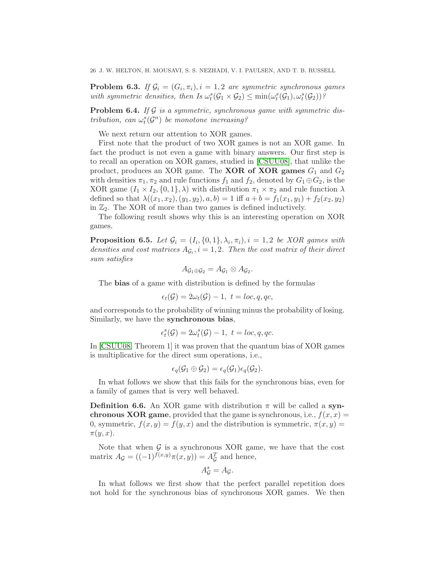**Problem 6.3.** If  $\mathcal{G}_i = (G_i, \pi_i), i = 1, 2$  are symmetric synchronous games with symmetric densities, then Is  $\omega_t^s(\mathcal{G}_1 \times \mathcal{G}_2) \leq \min(\omega_t^s(\mathcal{G}_1), \omega_t^s(\mathcal{G}_2))$ ?

**Problem 6.4.** If G is a symmetric, synchronous game with symmetric dis*tribution, can*  $\omega_t^s(G^n)$  *be monotone increasing?* 

We next return our attention to XOR games.

First note that the product of two XOR games is not an XOR game. In fact the product is not even a game with binary answers. Our first step is to recall an operation on XOR games, studied in [\[CSUU08\]](#page-35-15), that unlike the product, produces an XOR game. The **XOR of XOR games**  $G_1$  and  $G_2$ with densities  $\pi_1, \pi_2$  and rule functions  $f_1$  and  $f_2$ , denoted by  $G_1 \oplus G_2$ , is the XOR game  $(I_1 \times I_2, \{0,1\}, \lambda)$  with distribution  $\pi_1 \times \pi_2$  and rule function  $\lambda$ defined so that  $\lambda((x_1, x_2), (y_1, y_2), a, b) = 1$  iff  $a + b = f_1(x_1, y_1) + f_2(x_2, y_2)$ in  $\mathbb{Z}_2$ . The XOR of more than two games is defined inductively.

The following result shows why this is an interesting operation on XOR games.

**Proposition 6.5.** Let  $\mathcal{G}_i = (I_i, \{0, 1\}, \lambda_i, \pi_i), i = 1, 2$  be XOR games with densities and cost matrices  $A_{\mathcal{G}_i}$ ,  $i = 1, 2$ . Then the cost matrix of their direct *sum satisfies*

$$
A_{\mathcal{G}_1\oplus\mathcal{G}_2}=A_{\mathcal{G}_1}\otimes A_{\mathcal{G}_2}.
$$

The bias of a game with distribution is defined by the formulas

$$
\epsilon_t(\mathcal{G}) = 2\omega_t(\mathcal{G}) - 1, \ t = loc, q, qc,
$$

and corresponds to the probability of winning minus the probability of losing. Similarly, we have the synchronous bias,

$$
\epsilon_t^s(\mathcal{G})=2\omega_t^s(\mathcal{G})-1, \ t=loc,q,qc.
$$

In [\[CSUU08,](#page-35-15) Theorem 1] it was proven that the quantum bias of XOR games is multiplicative for the direct sum operations, i.e.,

$$
\epsilon_q(\mathcal{G}_1 \oplus \mathcal{G}_2) = \epsilon_q(\mathcal{G}_1)\epsilon_q(\mathcal{G}_2).
$$

In what follows we show that this fails for the synchronous bias, even for a family of games that is very well behaved.

**Definition 6.6.** An XOR game with distribution  $\pi$  will be called a synchronous XOR game, provided that the game is synchronous, i.e.,  $f(x, x) =$ 0, symmetric,  $f(x, y) = f(y, x)$  and the distribution is symmetric,  $\pi(x, y) =$  $\pi(y,x)$ .

Note that when  $\mathcal G$  is a synchronous XOR game, we have that the cost matrix  $A_{\mathcal{G}} = ((-1)^{f(x,y)} \pi(x,y)) = A_{\mathcal{G}}^T$  and hence,

$$
A_{\mathcal{G}}^{s}=A_{\mathcal{G}}.
$$

In what follows we first show that the perfect parallel repetition does not hold for the synchronous bias of synchronous XOR games. We then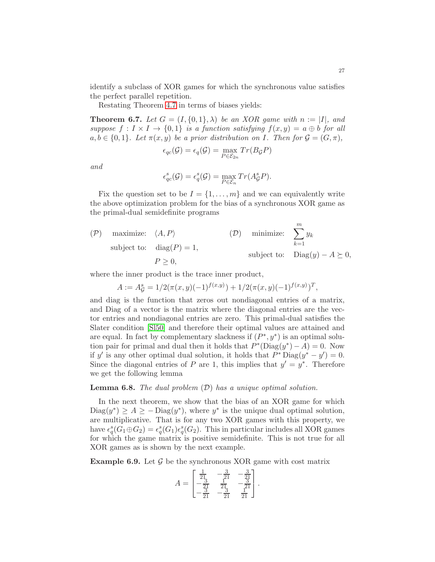identify a subclass of XOR games for which the synchronous value satisfies the perfect parallel repetition.

Restating Theorem [4.7](#page-17-0) in terms of biases yields:

**Theorem 6.7.** Let  $G = (I, \{0, 1\}, \lambda)$  be an XOR game with  $n := |I|$ , and *suppose*  $f: I \times I \rightarrow \{0,1\}$  *is a function satisfying*  $f(x,y) = a \oplus b$  *for all*  $a, b \in \{0, 1\}$ *. Let*  $\pi(x, y)$  *be a prior distribution on* I*. Then for*  $\mathcal{G} = (G, \pi)$ *,* 

$$
\epsilon_{qc}(\mathcal{G}) = \epsilon_q(\mathcal{G}) = \max_{P \in \mathcal{E}_{2n}} Tr(B_{\mathcal{G}}P)
$$

*and*

$$
\epsilon_{qc}^s(\mathcal{G}) = \epsilon_q^s(\mathcal{G}) = \max_{P \in \mathcal{E}_n} Tr(A_{\mathcal{G}}^s P).
$$

Fix the question set to be  $I = \{1, \ldots, m\}$  and we can equivalently write the above optimization problem for the bias of a synchronous XOR game as the primal-dual semidefinite programs

$$
(P) \quad \text{maximize:} \quad \langle A, P \rangle \quad (D) \quad \text{minimize:} \quad \sum_{k=1}^{m} y_k
$$
\n
$$
\text{subject to:} \quad \text{diag}(P) = 1,
$$
\n
$$
P \ge 0,
$$
\n
$$
(D) \quad \text{minimize:} \quad \sum_{k=1}^{m} y_k
$$
\n
$$
\text{subject to:} \quad \text{Diag}(y) - A \succeq 0,
$$

where the inner product is the trace inner product,

$$
A := A_{\mathcal{G}}^{s} = 1/2(\pi(x, y)(-1)^{f(x, y)}) + 1/2(\pi(x, y)(-1)^{f(x, y)})^{T},
$$

and diag is the function that zeros out nondiagonal entries of a matrix, and Diag of a vector is the matrix where the diagonal entries are the vector entries and nondiagonal entries are zero. This primal-dual satisfies the Slater condition [\[Sl50\]](#page-36-16) and therefore their optimal values are attained and are equal. In fact by complementary slackness if  $(P^*, y^*)$  is an optimal solution pair for primal and dual then it holds that  $P^*(\text{Diag}(y^*) - A) = 0$ . Now if y' is any other optimal dual solution, it holds that  $P^*$  Diag $(y^* - y') = 0$ . Since the diagonal entries of P are 1, this implies that  $y' = y^*$ . Therefore we get the following lemma

#### Lemma 6.8. *The dual problem* (D) *has a unique optimal solution.*

In the next theorem, we show that the bias of an XOR game for which  $\text{Diag}(y^*) \geq A \geq -\text{Diag}(y^*)$ , where  $y^*$  is the unique dual optimal solution, are multiplicative. That is for any two XOR games with this property, we have  $\epsilon_q^s(G_1 \oplus G_2) = \epsilon_q^s(G_1) \epsilon_q^s(G_2)$ . This in particular includes all XOR games for which the game matrix is positive semidefinite. This is not true for all XOR games as is shown by the next example.

**Example 6.9.** Let  $\mathcal{G}$  be the synchronous XOR game with cost matrix

$$
A = \begin{bmatrix} \frac{1}{21} & -\frac{3}{21} & -\frac{3}{21} \\ -\frac{3}{21} & \frac{1}{21} & -\frac{3}{21} \\ -\frac{3}{21} & -\frac{3}{21} & \frac{1}{21} \end{bmatrix}.
$$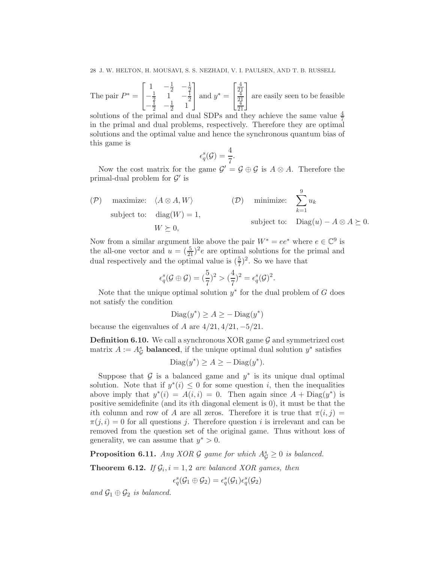The pair  $P^* =$  $\sqrt{ }$  $\overline{1}$  $1 - \frac{1}{2} - \frac{1}{2}$  $-\frac{1}{2}$   $1^{\frac{2}{2}}$   $-\frac{1}{2}$  $\frac{1}{2}$  1  $-\frac{1}{2}$  $-\frac{1}{2}$   $-\frac{1}{2}$   $1$   $2$  $\frac{1}{2}$  1 1 | and  $y^* =$  $\sqrt{ }$  $\overline{1}$ 4  $^{21}_{4}$  $^{21}_{4}$ 21 1 are easily seen to be feasible

solutions of the primal and dual SDPs and they achieve the same value  $\frac{4}{7}$ in the primal and dual problems, respectively. Therefore they are optimal solutions and the optimal value and hence the synchronous quantum bias of this game is

$$
\epsilon_q^s(\mathcal{G}) = \frac{4}{7}.
$$

Now the cost matrix for the game  $\mathcal{G}' = \mathcal{G} \oplus \mathcal{G}$  is  $A \otimes A$ . Therefore the primal-dual problem for  $\mathcal{G}'$  is

$$
\begin{array}{ll}\n\text{(P)} & \text{maximize:} \quad \langle A \otimes A, W \rangle \\
\text{subject to:} & \text{diag}(W) = 1, \\
& W \succeq 0,\n\end{array}\n\quad\n\begin{array}{ll}\n\text{(D)} & \text{minimize:} \quad \sum_{k=1}^{9} u_k \\
\text{subject to:} & \text{Diag}(u) - A \otimes A \succeq 0.\n\end{array}
$$

Now from a similar argument like above the pair  $W^* = ee^*$  where  $e \in \mathbb{C}^9$  is the all-one vector and  $u = (\frac{5}{21})^2 e$  are optimal solutions for the primal and dual respectively and the optimal value is  $(\frac{5}{7})^2$ . So we have that

$$
\epsilon_q^s(\mathcal{G} \oplus \mathcal{G}) = (\frac{5}{7})^2 > (\frac{4}{7})^2 = \epsilon_q^s(\mathcal{G})^2.
$$

Note that the unique optimal solution  $y^*$  for the dual problem of G does not satisfy the condition

$$
\text{Diag}(y^*) \ge A \ge -\text{Diag}(y^*)
$$

because the eigenvalues of A are  $4/21$ ,  $4/21$ ,  $-5/21$ .

**Definition 6.10.** We call a synchronous XOR game  $\mathcal G$  and symmetrized cost matrix  $A := A_{\mathcal{G}}^s$  balanced, if the unique optimal dual solution  $y^*$  satisfies

$$
Diag(y^*) \ge A \ge -Diag(y^*).
$$

Suppose that  $\mathcal G$  is a balanced game and  $y^*$  is its unique dual optimal solution. Note that if  $y^*(i) \leq 0$  for some question *i*, then the inequalities above imply that  $y^*(i) = A(i, i) = 0$ . Then again since  $A + \text{Diag}(y^*)$  is positive semidefinite (and its ith diagonal element is 0), it must be that the ith column and row of A are all zeros. Therefore it is true that  $\pi(i, j)$  =  $\pi(i, i) = 0$  for all questions j. Therefore question i is irrelevant and can be removed from the question set of the original game. Thus without loss of generality, we can assume that  $y^* > 0$ .

**Proposition 6.11.** *Any XOR G game for which*  $A_{\mathcal{G}}^{s} \geq 0$  *is balanced.* 

**Theorem 6.12.** *If*  $G_i$ ,  $i = 1, 2$  *are balanced XOR games, then* 

$$
\epsilon_q^s(\mathcal{G}_1 \oplus \mathcal{G}_2) = \epsilon_q^s(\mathcal{G}_1) \epsilon_q^s(\mathcal{G}_2)
$$

*and*  $\mathcal{G}_1 \oplus \mathcal{G}_2$  *is balanced.*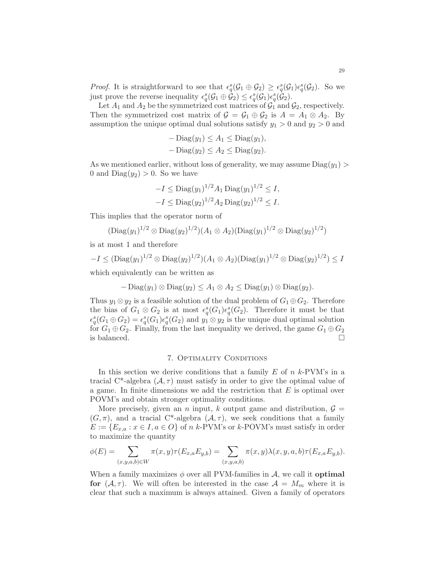*Proof.* It is straightforward to see that  $\epsilon_q^s(\mathcal{G}_1 \oplus \mathcal{G}_2) \geq \epsilon_q^s(\mathcal{G}_1)\epsilon_q^s(\mathcal{G}_2)$ . So we just prove the reverse inequality  $\epsilon_q^s(\mathcal{G}_1 \oplus \mathcal{G}_2) \leq \epsilon_q^s(\mathcal{G}_1)\epsilon_q^s(\mathcal{G}_2)$ .

Let  $A_1$  and  $A_2$  be the symmetrized cost matrices of  $\mathcal{G}_1$  and  $\mathcal{G}_2$ , respectively. Then the symmetrized cost matrix of  $\mathcal{G} = \mathcal{G}_1 \oplus \mathcal{G}_2$  is  $A = A_1 \otimes A_2$ . By assumption the unique optimal dual solutions satisfy  $y_1 > 0$  and  $y_2 > 0$  and

$$
- \operatorname{Diag}(y_1) \le A_1 \le \operatorname{Diag}(y_1),
$$
  

$$
- \operatorname{Diag}(y_2) \le A_2 \le \operatorname{Diag}(y_2).
$$

As we mentioned earlier, without loss of generality, we may assume  $\text{Diag}(y_1)$ 0 and  $Diag(y_2) > 0$ . So we have

$$
-I \leq \text{Diag}(y_1)^{1/2} A_1 \text{Diag}(y_1)^{1/2} \leq I,
$$
  

$$
-I \leq \text{Diag}(y_2)^{1/2} A_2 \text{Diag}(y_2)^{1/2} \leq I.
$$

This implies that the operator norm of

$$
(\text{Diag}(y_1)^{1/2} \otimes \text{Diag}(y_2)^{1/2}) (A_1 \otimes A_2) (\text{Diag}(y_1)^{1/2} \otimes \text{Diag}(y_2)^{1/2})
$$

is at most 1 and therefore

 $-I \leq (\text{Diag}(y_1)^{1/2} \otimes \text{Diag}(y_2)^{1/2}) (A_1 \otimes A_2) (\text{Diag}(y_1)^{1/2} \otimes \text{Diag}(y_2)^{1/2}) \leq I$ 

which equivalently can be written as

$$
- \operatorname{Diag}(y_1) \otimes \operatorname{Diag}(y_2) \le A_1 \otimes A_2 \le \operatorname{Diag}(y_1) \otimes \operatorname{Diag}(y_2).
$$

Thus  $y_1 \otimes y_2$  is a feasible solution of the dual problem of  $G_1 \oplus G_2$ . Therefore the bias of  $G_1 \otimes G_2$  is at most  $\epsilon_q^s(G_1)\epsilon_q^s(G_2)$ . Therefore it must be that  $\epsilon_q^s(G_1 \oplus G_2) = \epsilon_q^s(G_1)\epsilon_q^s(G_2)$  and  $y_1 \otimes y_2$  is the unique dual optimal solution for  $G_1 \oplus G_2$ . Finally, from the last inequality we derived, the game  $G_1 \oplus G_2$ is balanced.  $\Box$ 

## 7. Optimality Conditions

<span id="page-28-0"></span>In this section we derive conditions that a family  $E$  of  $n \; k$ -PVM's in a tracial C<sup>\*</sup>-algebra  $(\mathcal{A}, \tau)$  must satisfy in order to give the optimal value of a game. In finite dimensions we add the restriction that  $E$  is optimal over POVM's and obtain stronger optimality conditions.

More precisely, given an *n* input, k output game and distribution,  $\mathcal{G} =$  $(G, \pi)$ , and a tracial C<sup>\*</sup>-algebra  $(\mathcal{A}, \tau)$ , we seek conditions that a family  $E := \{E_{x,a} : x \in I, a \in O\}$  of n k-PVM's or k-POVM's must satisfy in order to maximize the quantity

$$
\phi(E) = \sum_{(x,y,a,b) \in W} \pi(x,y)\tau(E_{x,a}E_{y,b}) = \sum_{(x,y,a,b)} \pi(x,y)\lambda(x,y,a,b)\tau(E_{x,a}E_{y,b}).
$$

When a family maximizes  $\phi$  over all PVM-families in  $\mathcal{A}$ , we call it **optimal** for  $(A, \tau)$ . We will often be interested in the case  $A = M_m$  where it is clear that such a maximum is always attained. Given a family of operators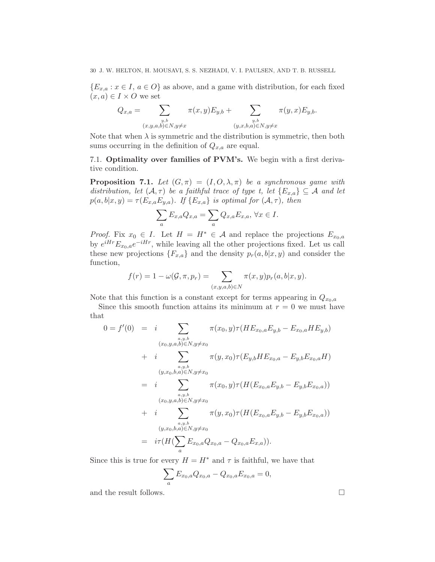${E_{x,a} : x \in I, a \in O}$  as above, and a game with distribution, for each fixed  $(x, a) \in I \times O$  we set

$$
Q_{x,a} = \sum_{\substack{y,b \\ (x,y,a,b)\in N, y\neq x}} \pi(x,y) E_{y,b} + \sum_{\substack{y,b \\ (y,x,b,a)\in N, y\neq x}} \pi(y,x) E_{y,b}.
$$

Note that when  $\lambda$  is symmetric and the distribution is symmetric, then both sums occurring in the definition of  $Q_{x,a}$  are equal.

<span id="page-29-0"></span>7.1. Optimality over families of PVM's. We begin with a first derivative condition.

<span id="page-29-1"></span>**Proposition 7.1.** Let  $(G,\pi) = (I, O, \lambda, \pi)$  be a synchronous game with *distribution, let*  $(A, \tau)$  *be a faithful trace of type t, let*  ${E_{x,a}} \subseteq A$  *and let*  $p(a, b|x, y) = \tau(E_{x,a}E_{y,a})$ *. If*  $\{E_{x,a}\}\$  *is optimal for*  $(A, \tau)$ *, then* 

$$
\sum_{a} E_{x,a} Q_{x,a} = \sum_{a} Q_{x,a} E_{x,a}, \forall x \in I.
$$

*Proof.* Fix  $x_0 \in I$ . Let  $H = H^* \in \mathcal{A}$  and replace the projections  $E_{x_0,a}$ by  $e^{iHr}E_{x_0,a}e^{-iHr}$ , while leaving all the other projections fixed. Let us call these new projections  ${F_{x,a}}$  and the density  $p_r(a, b|x, y)$  and consider the function,

$$
f(r) = 1 - \omega(\mathcal{G}, \pi, p_r) = \sum_{(x, y, a, b) \in N} \pi(x, y) p_r(a, b | x, y).
$$

Note that this function is a constant except for terms appearing in  $Q_{x_0,a}$ 

Since this smooth function attains its minimum at  $r = 0$  we must have that

$$
0 = f'(0) = i \sum_{\substack{a,y,b \\ (x_0,y,a,b) \in N, y \neq x_0}} \pi(x_0, y) \tau(HE_{x_0,a}E_{y,b} - E_{x_0,a}HE_{y,b})
$$
  
+  $i \sum_{\substack{a,y,b \\ (y,x_0,b,a) \in N, y \neq x_0}} \pi(y,x_0) \tau(E_{y,b}HE_{x_0,a} - E_{y,b}E_{x_0,a}H)$   
=  $i \sum_{\substack{a,y,b \\ (x_0,y,a,b) \in N, y \neq x_0}} \pi(x_0, y) \tau(H(E_{x_0,a}E_{y,b} - E_{y,b}E_{x_0,a}))$   
+  $i \sum_{\substack{a,y,b \\ (y,x_0,b,a) \in N, y \neq x_0}} \pi(y,x_0) \tau(H(E_{x_0,a}E_{y,b} - E_{y,b}E_{x_0,a}))$   
=  $i\tau(H(\sum_a E_{x_0,a}Q_{x_0,a} - Q_{x_0,a}E_{x,a})).$ 

Since this is true for every  $H = H^*$  and  $\tau$  is faithful, we have that

$$
\sum_{a} E_{x_0,a} Q_{x_0,a} - Q_{x_0,a} E_{x_0,a} = 0,
$$

and the result follows.  $\Box$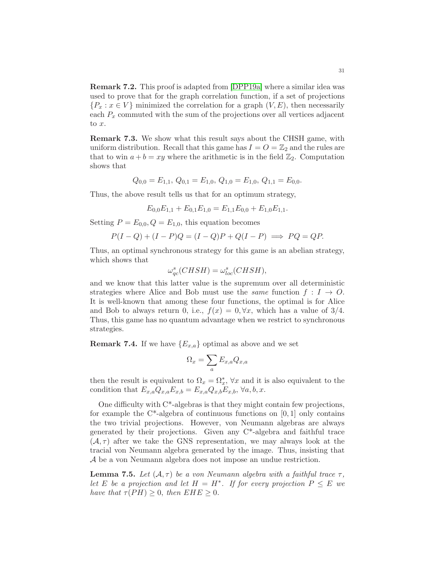Remark 7.2. This proof is adapted from [\[DPP19a\]](#page-35-10) where a similar idea was used to prove that for the graph correlation function, if a set of projections  ${P_x : x \in V}$  minimized the correlation for a graph  $(V, E)$ , then necessarily each  $P_x$  commuted with the sum of the projections over all vertices adjacent to x.

Remark 7.3. We show what this result says about the CHSH game, with uniform distribution. Recall that this game has  $I = O = \mathbb{Z}_2$  and the rules are that to win  $a + b = xy$  where the arithmetic is in the field  $\mathbb{Z}_2$ . Computation shows that

$$
Q_{0,0} = E_{1,1}, Q_{0,1} = E_{1,0}, Q_{1,0} = E_{1,0}, Q_{1,1} = E_{0,0}.
$$

Thus, the above result tells us that for an optimum strategy,

$$
E_{0,0}E_{1,1} + E_{0,1}E_{1,0} = E_{1,1}E_{0,0} + E_{1,0}E_{1,1}.
$$

Setting  $P = E_{0,0}$ ,  $Q = E_{1,0}$ , this equation becomes

$$
P(I - Q) + (I - P)Q = (I - Q)P + Q(I - P) \implies PQ = QP.
$$

Thus, an optimal synchronous strategy for this game is an abelian strategy, which shows that

$$
\omega_{qc}^s(CHSH) = \omega_{loc}^s(CHSH),
$$

and we know that this latter value is the supremum over all deterministic strategies where Alice and Bob must use the *same* function  $f: I \rightarrow O$ . It is well-known that among these four functions, the optimal is for Alice and Bob to always return 0, i.e.,  $f(x) = 0, \forall x$ , which has a value of 3/4. Thus, this game has no quantum advantage when we restrict to synchronous strategies.

**Remark 7.4.** If we have  ${E_{x,a}}$  optimal as above and we set

$$
\Omega_x = \sum_a E_{x,a} Q_{x,a}
$$

then the result is equivalent to  $\Omega_x = \Omega_x^*$ ,  $\forall x$  and it is also equivalent to the condition that  $E_{x,a}Q_{x,a}E_{x,b} = E_{x,a}Q_{x,b}E_{x,b}$ ,  $\forall a, b, x$ .

One difficulty with  $C^*$ -algebras is that they might contain few projections, for example the  $C^*$ -algebra of continuous functions on [0, 1] only contains the two trivial projections. However, von Neumann algebras are always generated by their projections. Given any C\*-algebra and faithful trace  $(\mathcal{A}, \tau)$  after we take the GNS representation, we may always look at the tracial von Neumann algebra generated by the image. Thus, insisting that A be a von Neumann algebra does not impose an undue restriction.

**Lemma 7.5.** Let  $(A, \tau)$  be a von Neumann algebra with a faithful trace  $\tau$ , *let* E *be a projection and let*  $H = H^*$ . If for every projection  $P \leq E$  we *have that*  $\tau(PH) \geq 0$ *, then*  $EHE \geq 0$ *.*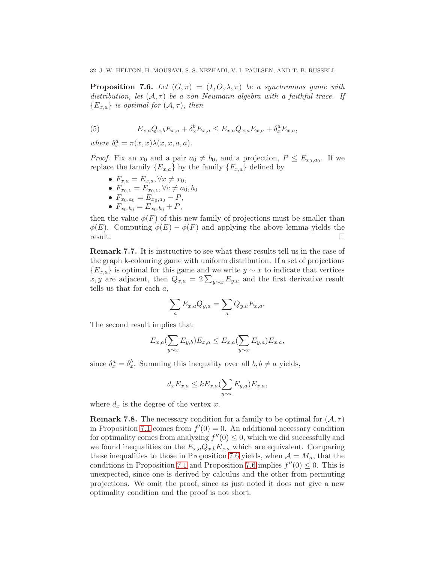<span id="page-31-0"></span>**Proposition 7.6.** *Let*  $(G,\pi) = (I, O, \lambda, \pi)$  *be a synchronous game with* distribution, let  $(A, \tau)$  be a von Neumann algebra with a faithful trace. If  ${E_{x,a}}$ *is optimal for*  $(A, \tau)$ *, then* 

(5) 
$$
E_{x,a}Q_{x,b}E_{x,a} + \delta_x^b E_{x,a} \le E_{x,a}Q_{x,a}E_{x,a} + \delta_x^a E_{x,a},
$$

*where*  $\delta_x^a = \pi(x, x) \lambda(x, x, a, a)$ *.* 

*Proof.* Fix an  $x_0$  and a pair  $a_0 \neq b_0$ , and a projection,  $P \leq E_{x_0,a_0}$ . If we replace the family  ${E_{x,a}}$  by the family  ${F_{x,a}}$  defined by

\n- $$
F_{x,a} = E_{x,a}, \forall x \neq x_0
$$
,
\n- $F_{x_0,c} = E_{x_0,c}, \forall c \neq a_0, b_0$
\n- $F_{x_0,a_0} = E_{x_0,a_0} - P$ ,
\n

•  $F_{x_0,b_0} = E_{x_0,b_0} + P$ ,

then the value  $\phi(F)$  of this new family of projections must be smaller than  $\phi(E)$ . Computing  $\phi(E) - \phi(F)$  and applying the above lemma yields the result.

<span id="page-31-1"></span>Remark 7.7. It is instructive to see what these results tell us in the case of the graph k-colouring game with uniform distribution. If a set of projections  ${E_{x,a}}$  is optimal for this game and we write  $y \sim x$  to indicate that vertices x, y are adjacent, then  $Q_{x,a} = 2 \sum_{y \sim x} E_{y,a}$  and the first derivative result tells us that for each  $a$ ,

$$
\sum_a E_{x,a} Q_{y,a} = \sum_a Q_{y,a} E_{x,a}.
$$

The second result implies that

$$
E_{x,a}(\sum_{y\sim x} E_{y,b})E_{x,a} \leq E_{x,a}(\sum_{y\sim x} E_{y,a})E_{x,a},
$$

since  $\delta_x^a = \delta_x^b$ . Summing this inequality over all  $b, b \neq a$  yields,

$$
d_x E_{x,a} \le k E_{x,a} (\sum_{y \sim x} E_{y,a}) E_{x,a},
$$

where  $d_x$  is the degree of the vertex x.

**Remark 7.8.** The necessary condition for a family to be optimal for  $(A, \tau)$ in Proposition [7.1](#page-29-1) comes from  $f'(0) = 0$ . An additional necessary condition for optimality comes from analyzing  $f''(0) \leq 0$ , which we did successfully and we found inequalities on the  $E_{x,a}Q_{x,b}E_{x,a}$  which are equivalent. Comparing these inequalities to those in Proposition [7.6](#page-31-0) yields, when  $A = M_n$ , that the conditions in Proposition [7.1](#page-29-1) and Proposition [7.6](#page-31-0) implies  $f''(0) \leq 0$ . This is unexpected, since one is derived by calculus and the other from permuting projections. We omit the proof, since as just noted it does not give a new optimality condition and the proof is not short.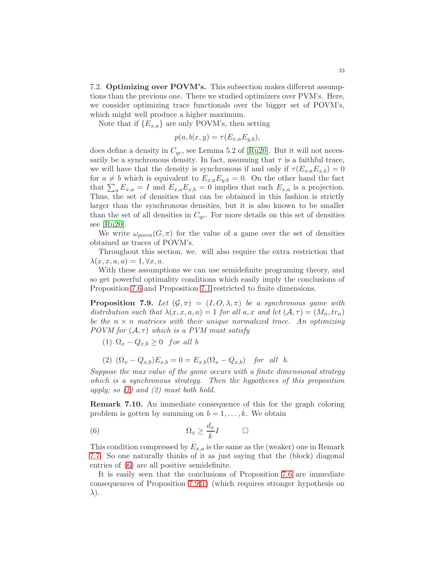<span id="page-32-0"></span>7.2. Optimizing over POVM's. This subsection makes different assumptions than the previous one. There we studied optimizers over PVM's. Here, we consider optimizing trace functionals over the bigger set of POVM's, which might well produce a higher maximum.

Note that if  $\{E_{x,a}\}\$ are only POVM's, then setting

$$
p(a, b|x, y) = \tau(E_{x,a}E_{y,b}),
$$

does define a density in  $C_{qc}$ , see Lemma 5.2 of [\[Ru20\]](#page-36-17). But it will not necessarily be a synchronous density. In fact, assuming that  $\tau$  is a faithful trace, we will have that the density is synchronous if and only if  $\tau(E_{x,a}E_{x,b})=0$ for  $a \neq b$  which is equivalent to  $E_{x,a}E_{y,b} = 0$ . On the other hand the fact that  $\sum_a E_{x,a} = I$  and  $E_{x,a}E_{x,b} = 0$  implies that each  $E_{x,a}$  is a projection. Thus, the set of densities that can be obtained in this fashion is strictly larger than the synchronous densities, but it is also known to be smaller than the set of all densities in  $C_{qc}$ . For more details on this set of densities see  $|Ru20|$ .

We write  $\omega_{\text{norm}}(G,\pi)$  for the value of a game over the set of densities obtained as traces of POVM's.

Throughout this section, we. will also require the extra restriction that  $\lambda(x, x, a, a) = 1, \forall x, a.$ 

With these assumptions we can use semidefinite programing theory, and so get powerful optimality conditions which easily imply the conclusions of Proposition [7.6](#page-31-0) and Proposition [7.1](#page-29-1) restricted to finite dimensions.

<span id="page-32-3"></span>**Proposition 7.9.** *Let*  $(G, \pi) = (I, O, \lambda, \pi)$  *be a synchronous game with distribution such that*  $\lambda(x, x, a, a) = 1$  *for all*  $a, x$  *and let*  $(A, \tau) = (M_n, tr_n)$ *be the*  $n \times n$  *matrices with their unique normalized trace. An optimizing POVM for*  $(A, \tau)$  *which is a PVM must satisfy* 

- <span id="page-32-1"></span>(1)  $\Omega_x - Q_{x,b} \geq 0$  for all b
- (2)  $(\Omega_x Q_{x,b})E_{x,b} = 0 = E_{x,b}(\Omega_x Q_{x,b})$  *for all b.*

*Suppose the max value of the game occurs with a finite dimensional strategy which is a synchronous strategy. Then the hypotheses of this proposition apply; so [\(1\)](#page-32-1) and (2) must both hold.*

Remark 7.10. An immediate consequence of this for the graph coloring problem is gotten by summing on  $b = 1, \ldots, k$ . We obtain

<span id="page-32-2"></span>
$$
(6) \t\t \t\t \Omega_x \ge \frac{d_x}{k}I \t\t \square
$$

This condition compressed by  $E_{x,a}$  is the same as the (weaker) one in Remark [7.7.](#page-31-1) So one naturally thinks of it as just saying that the (block) diagonal entries of [\(6\)](#page-32-2) are all positive semidefinite.

It is easily seen that the conclusions of Proposition [7.6](#page-31-0) are immediate consequences of Proposition [7.9\(](#page-32-3)[1\)](#page-32-1) (which requires stronger hypothesis on  $\lambda$ ).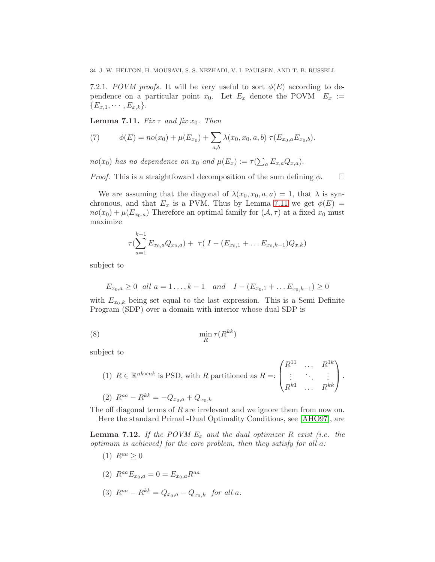7.2.1. *POVM proofs.* It will be very useful to sort  $\phi(E)$  according to dependence on a particular point  $x_0$ . Let  $E_x$  denote the POVM  $E_x :=$  ${E_{x,1}, \cdots, E_{x,k}}.$ 

<span id="page-33-0"></span>**Lemma 7.11.** *Fix*  $\tau$  *and fix*  $x_0$ *. Then* 

(7) 
$$
\phi(E) = n o(x_0) + \mu(E_{x_0}) + \sum_{a,b} \lambda(x_0, x_0, a, b) \ \tau(E_{x_0, a} E_{x_0, b}).
$$

 $no(x_0)$  has no dependence on  $x_0$  and  $\mu(E_x) := \tau(\sum_a E_{x,a} Q_{x,a}).$ 

*Proof.* This is a straightfoward decomposition of the sum defining  $\phi$ .  $\Box$ 

We are assuming that the diagonal of  $\lambda(x_0, x_0, a, a) = 1$ , that  $\lambda$  is synchronous, and that  $E_x$  is a PVM. Thus by Lemma [7.11](#page-33-0) we get  $\phi(E)$  =  $no(x_0) + \mu(E_{x_0,a})$  Therefore an optimal family for  $(\mathcal{A}, \tau)$  at a fixed  $x_0$  must maximize

$$
\tau(\sum_{a=1}^{k-1} E_{x_0,a} Q_{x_0,a}) + \tau(I - (E_{x_0,1} + \dots E_{x_0,k-1}) Q_{x,k})
$$

subject to

$$
E_{x_0,a} \ge 0
$$
 all  $a = 1... , k - 1$  and  $I - (E_{x_0,1} + ... E_{x_0,k-1}) \ge 0$ 

with  $E_{x_0,k}$  being set equal to the last expression. This is a Semi Definite Program (SDP) over a domain with interior whose dual SDP is

$$
\lim_{R} \tau(R^{kk})
$$

subject to

(1) 
$$
R \in \mathbb{R}^{nk \times nk}
$$
 is PSD, with  $R$  partitioned as  $R =: \begin{pmatrix} R^{11} & \dots & R^{1k} \\ \vdots & \ddots & \vdots \\ R^{k1} & \dots & R^{kk} \end{pmatrix}$ .  
\n(2)  $R^{aa} - R^{kk} = -Q_{x_0,a} + Q_{x_0,k}$ 

The off diagonal terms of R are irrelevant and we ignore them from now on. Here the standard Primal -Dual Optimality Conditions, see [\[AHO97\]](#page-35-19), are

<span id="page-33-1"></span>**Lemma 7.12.** If the POVM  $E_x$  and the dual optimizer R exist (i.e. the *optimum is achieved) for the core problem, then they satisfy for all* a*:*

- (1)  $R^{aa} > 0$
- (2)  $R^{aa}E_{x_0,a}=0=E_{x_0,a}R^{aa}$
- (3)  $R^{aa} R^{kk} = Q_{x_0,a} Q_{x_0,k}$  *for all a.*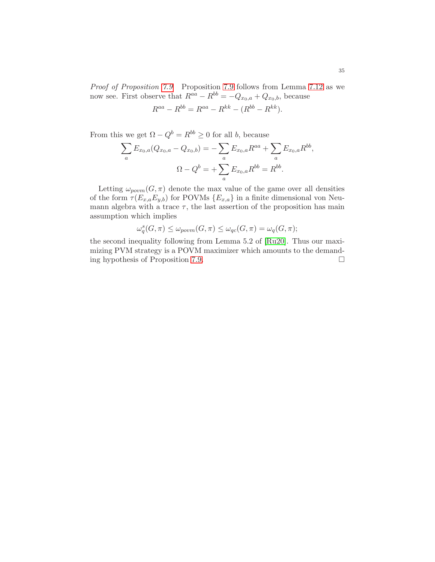*Proof of Proposition [7.9](#page-32-3)* Proposition [7.9](#page-32-3) follows from Lemma [7.12](#page-33-1) as we now see. First observe that  $R^{aa} - R^{bb} = -Q_{x_0,a} + Q_{x_0,b}$ , because

$$
R^{aa} - R^{bb} = R^{aa} - R^{kk} - (R^{bb} - R^{kk}).
$$

From this we get  $\Omega - Q^b = R^{bb} \ge 0$  for all b, because

$$
\sum_{a} E_{x_0, a}(Q_{x_0, a} - Q_{x_0, b}) = -\sum_{a} E_{x_0, a} R^{aa} + \sum_{a} E_{x_0, a} R^{bb},
$$

$$
\Omega - Q^b = +\sum_{a} E_{x_0, a} R^{bb} = R^{bb}.
$$

Letting  $\omega_{povm}(G, \pi)$  denote the max value of the game over all densities of the form  $\tau(E_{x,a}E_{y,b})$  for POVMs  $\{E_{x,a}\}\$ in a finite dimensional von Neumann algebra with a trace  $\tau$ , the last assertion of the proposition has main assumption which implies

$$
\omega_q^s(G, \pi) \leq \omega_{povm}(G, \pi) \leq \omega_{qc}(G, \pi) = \omega_q(G, \pi);
$$

the second inequality following from Lemma 5.2 of [\[Ru20\]](#page-36-17). Thus our maximizing PVM strategy is a POVM maximizer which amounts to the demanding hypothesis of Proposition [7.9.](#page-32-3)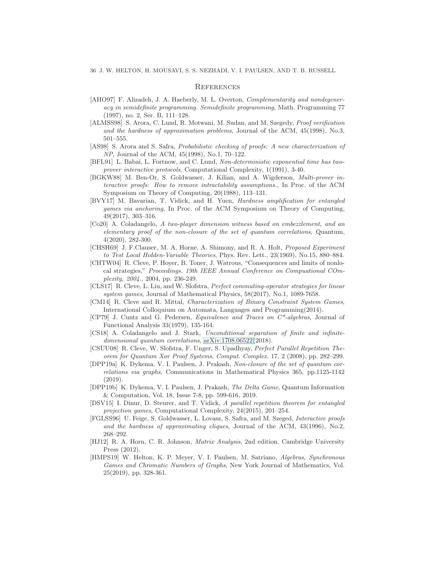#### <span id="page-35-0"></span>**REFERENCES**

- <span id="page-35-19"></span>[AHO97] F. Alizadeh, J. A. Haeberly, M. L. Overton, *Complementarity and nondegeneracy in semidefinite programming. Semidefinite programming*, Math. Programming 77 (1997), no. 2, Ser. B, 111–128.
- <span id="page-35-4"></span>[ALMSS98] S. Arora, C. Lund, R. Motwani, M. Sudan, and M. Szegedy, *Proof verification and the hardness of approximation problems*, Journal of the ACM, 45(1998), No.3, 501–555.
- <span id="page-35-5"></span>[AS98] S. Arora and S. Safra, *Probabilistic checking of proofs: A new characterization of NP*, Journal of the ACM, 45(1998), No.1, 70–122.
- <span id="page-35-2"></span>[BFL91] L. Babai, L. Fortnow, and C. Lund, *Non-deterministic exponential time has twoprover interactive protocols*, Computational Complexity, 1(1991), 3-40.
- <span id="page-35-1"></span>[BGKW88] M. Ben-Or, S. Goldwasser, J. Kilian, and A. Wigderson, *Multi-prover interactive proofs: How to remove intractability assumptions.*, In Proc. of the ACM Symposium on Theory of Computing, 20(1988), 113–131.
- <span id="page-35-18"></span>[BVY17] M. Bavarian, T. Vidick, and H. Yuen, *Hardness amplification for entangled games via anchoring*, In Proc. of the ACM Symposium on Theory of Computing, 49(2017), 303–316.
- <span id="page-35-11"></span>[Co20] A. Coladangelo, *A two-player dimension witness based on embezzlement, and an elementary proof of the non-closure of the set of quantum correlations*, Quantum, 4(2020), 282-300.
- <span id="page-35-6"></span>[CHSH69] J. F.Clauser, M. A. Horne, A. Shimony, and R. A. Holt, *Proposed Experiment to Test Local Hidden-Variable Theories*, Phys. Rev. Lett., 23(1969), No.15, 880–884.
- <span id="page-35-7"></span>[CHTW04] R. Cleve, P. Hoyer, B. Toner, J. Watrous, "Consequences and limits of nonlocal strategies," *Proceedings. 19th IEEE Annual Conference on Compuational COmplexity, 2004.*, 2004, pp. 236-249.
- <span id="page-35-9"></span>[CLS17] R. Cleve, L. Liu, and W. Slofstra, *Perfect commuting-operator strategies for linear system games*, Journal of Mathematical Physics, 58(2017), No.1, 1089-7658.
- <span id="page-35-8"></span>[CM14] R. Cleve and R. Mittal, *Characterization of Binary Constraint System Games*, International Colloquium on Automata, Languages and Programming(2014).
- <span id="page-35-14"></span>[CP79] J. Cuntz and G. Pedersen, *Equivalence and Traces on C\*-algebras*, Journal of Functional Analysis 33(1979), 135-164.
- <span id="page-35-12"></span>[CS18] A. Coladangelo and J. Stark, *Unconditional separation of finite and infinitedimensional quantum correlations*, [arXiv:1708.06522\(](http://arxiv.org/abs/1708.06522)2018).
- <span id="page-35-15"></span>[CSUU08] R. Cleve, W. Slofstra, F. Unger, S. Upadhyay, *Perfect Parallel Repetition Theorem for Quantum Xor Proof Systems*, *Comput. Complex.* 17, 2 (2008), pp. 282–299.
- <span id="page-35-10"></span>[DPP19a] K. Dykema, V. I. Paulsen, J. Prakash, *Non-closure of the set of quantum correlations via graphs*, Communications in Mathematical Physics 365, pp.1125-1142 (2019).
- [DPP19b] K. Dykema, V. I. Paulsen, J. Prakash, *The Delta Game*, Quantum Information & Computation, Vol. 18, Issue 7-8, pp. 599-616, 2019.
- <span id="page-35-17"></span>[DSV15] I. Dinur, D. Steurer, and T. Vidick, *A parallel repetition theorem for entangled projection games*, Computational Complexity, 24(2015), 201–254.
- <span id="page-35-3"></span>[FGLSS96] U. Feige, S. Goldwasser, L. Lovasz, S. Safra, and M. Szeged, *Interactive proofs and the hardness of approximating cliques*, Journal of the ACM, 43(1996), No.2, 268–292.
- <span id="page-35-16"></span>[HJ12] R. A. Horn, C. R. Johnson, *Matrix Analysis*, 2nd edition. Cambridge University Press (2012).
- <span id="page-35-13"></span>[HMPS19] W. Helton, K. P. Meyer, V. I. Paulsen, M. Satriano, *Algebras, Synchronous Games and Chromatic Numbers of Graphs*, New York Journal of Mathematics, Vol. 25(2019), pp. 328-361.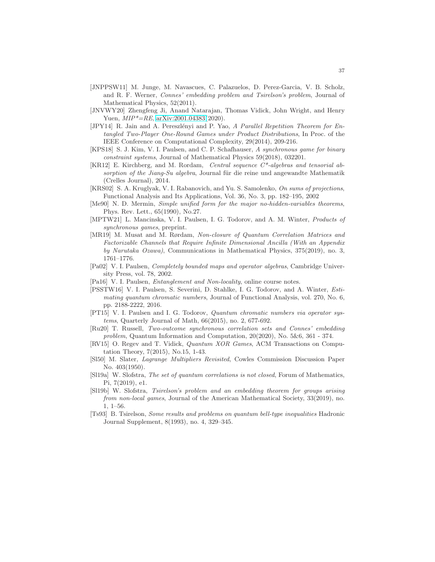- <span id="page-36-8"></span>[JNPPSW11] M. Junge, M. Navascues, C. Palazuelos, D. Perez-Garcia, V. B. Scholz, and R. F. Werner, *Connes' embedding problem and Tsirelson's problem*, Journal of Mathematical Physics, 52(2011).
- <span id="page-36-0"></span>[JNVWY20] Zhengfeng Ji, Anand Natarajan, Thomas Vidick, John Wright, and Henry Yuen, *MIP\*=RE*, [arXiv:2001.04383\(](http://arxiv.org/abs/2001.04383)2020).
- <span id="page-36-14"></span>[JPY14] R. Jain and A. Pereszlényi and P. Yao, *A Parallel Repetition Theorem for Entangled Two-Player One-Round Games under Product Distributions*, In Proc. of the IEEE Conference on Computational Complexity, 29(2014), 209-216.
- <span id="page-36-7"></span>[KPS18] S. J. Kim, V. I. Paulsen, and C. P. Schafhauser, *A synchronous game for binary constraint systems*, Journal of Mathematical Physics 59(2018), 032201.
- [KR12] E. Kirchberg, and M. Rordam, *Central sequence C\*-algebras and tensorial absorption of the Jiang-Su algebra*, Journal für die reine und angewandte Mathematik (Crelles Journal), 2014.
- <span id="page-36-10"></span>[KRS02] S. A. Kruglyak, V. I. Rabanovich, and Yu. S. Samolenko, *On sums of projections*, Functional Analysis and Its Applications, Vol. 36, No. 3, pp. 182–195, 2002
- <span id="page-36-2"></span>[Me90] N. D. Mermin, *Simple unified form for the major no-hidden-variables theorems*, Phys. Rev. Lett., 65(1990), No.27.
- <span id="page-36-15"></span>[MPTW21] L. Mancinska, V. I. Paulsen, I. G. Todorov, and A. M. Winter, *Products of synchronous games*, preprint.
- <span id="page-36-5"></span>[MR19] M. Musat and M. Rørdam, *Non-closure of Quantum Correlation Matrices and Factorizable Channels that Require Infinite Dimensional Ancilla (With an Appendix by Narutaka Ozawa)*, Communications in Mathematical Physics, 375(2019), no. 3, 1761–1776.
- <span id="page-36-13"></span>[Pa02] V. I. Paulsen, *Completely bounded maps and operator algebras*, Cambridge University Press, vol. 78, 2002.
- <span id="page-36-12"></span>[Pa16] V. I. Paulsen, *Entanglement and Non-locality*, online course notes.
- <span id="page-36-6"></span>[PSSTW16] V. I. Paulsen, S. Severini, D. Stahlke, I. G. Todorov, and A. Winter, *Estimating quantum chromatic numbers*, Journal of Functional Analysis, vol. 270, No. 6, pp. 2188-2222, 2016.
- <span id="page-36-9"></span>[PT15] V. I. Paulsen and I. G. Todorov, *Quantum chromatic numbers via operator systems*, Quarterly Journal of Math, 66(2015), no. 2, 677-692.
- <span id="page-36-17"></span>[Ru20] T. Russell, *Two-outcome synchronous correlation sets and Connes' embedding problem*, Quantum Information and Computation, 20(2020), No. 5&6, 361 - 374.
- <span id="page-36-3"></span>[RV15] O. Regev and T. Vidick, *Quantum XOR Games*, ACM Transactions on Computation Theory, 7(2015), No.15, 1-43.
- <span id="page-36-16"></span>[Sl50] M. Slater, *Lagrange Multipliers Revisited*, Cowles Commission Discussion Paper No. 403(1950).
- <span id="page-36-1"></span>[Sl19a] W. Slofstra, *The set of quantum correlations is not closed*, Forum of Mathematics, Pi, 7(2019), e1.
- <span id="page-36-4"></span>[Sl19b] W. Slofstra, *Tsirelson's problem and an embedding theorem for groups arising from non-local games*, Journal of the American Mathematical Society, 33(2019), no. 1, 1–56.
- <span id="page-36-11"></span>[Ts93] B. Tsirelson, *Some results and problems on quantum bell-type inequalities* Hadronic Journal Supplement, 8(1993), no. 4, 329–345.